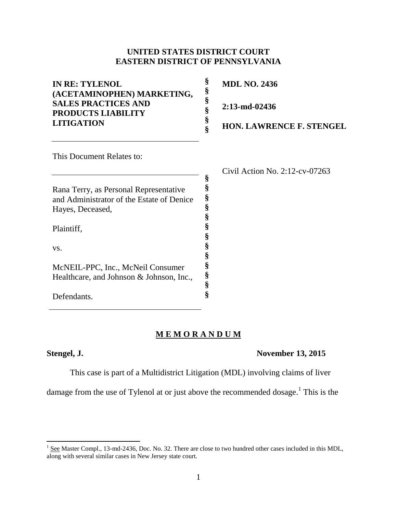# **UNITED STATES DISTRICT COURT EASTERN DISTRICT OF PENNSYLVANIA**

| <b>IN RE: TYLENOL</b><br>(ACETAMINOPHEN) MARKETING, | §<br>§ | <b>MDL NO. 2436</b>               |
|-----------------------------------------------------|--------|-----------------------------------|
| <b>SALES PRACTICES AND</b><br>PRODUCTS LIABILITY    | §<br>§ | 2:13-md-02436                     |
| <b>LITIGATION</b>                                   | §<br>Ş | <b>HON. LAWRENCE F. STENGEL</b>   |
| This Document Relates to:                           |        |                                   |
|                                                     |        | Civil Action No. $2:12$ -cv-07263 |
|                                                     | §      |                                   |
| Rana Terry, as Personal Representative              | §      |                                   |
| and Administrator of the Estate of Denice           | §<br>§ |                                   |
| Hayes, Deceased,                                    | §      |                                   |
| Plaintiff,                                          | §<br>§ |                                   |
| VS.                                                 | §      |                                   |
|                                                     | §      |                                   |
| McNEIL-PPC, Inc., McNeil Consumer                   | §      |                                   |
| Healthcare, and Johnson & Johnson, Inc.,            | §      |                                   |
|                                                     | §      |                                   |
| Defendants                                          | Ş      |                                   |

# **M E M O R A N D U M**

Defendants.

## **Stengel, J. November 13, 2015**

This case is part of a Multidistrict Litigation (MDL) involving claims of liver

damage from the use of Tylenol at or just above the recommended dosage.<sup>1</sup> This is the

<sup>&</sup>lt;sup>1</sup> See Master Compl., 13-md-2436, Doc. No. 32. There are close to two hundred other cases included in this MDL, along with several similar cases in New Jersey state court.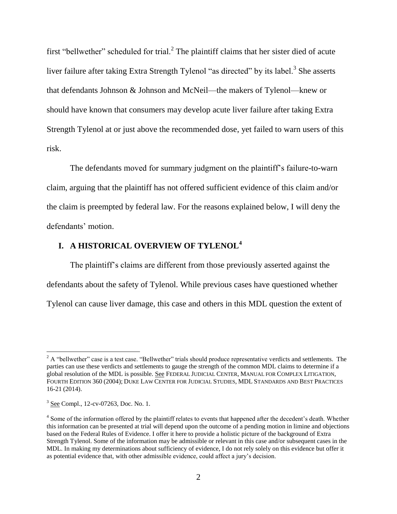first "bellwether" scheduled for trial.<sup>2</sup> The plaintiff claims that her sister died of acute liver failure after taking Extra Strength Tylenol "as directed" by its label.<sup>3</sup> She asserts that defendants Johnson & Johnson and McNeil—the makers of Tylenol—knew or should have known that consumers may develop acute liver failure after taking Extra Strength Tylenol at or just above the recommended dose, yet failed to warn users of this risk.

The defendants moved for summary judgment on the plaintiff's failure-to-warn claim, arguing that the plaintiff has not offered sufficient evidence of this claim and/or the claim is preempted by federal law. For the reasons explained below, I will deny the defendants' motion.

# **I. A HISTORICAL OVERVIEW OF TYLENOL<sup>4</sup>**

The plaintiff's claims are different from those previously asserted against the defendants about the safety of Tylenol. While previous cases have questioned whether Tylenol can cause liver damage, this case and others in this MDL question the extent of

l

 $2$  A "bellwether" case is a test case. "Bellwether" trials should produce representative verdicts and settlements. The parties can use these verdicts and settlements to gauge the strength of the common MDL claims to determine if a global resolution of the MDL is possible. See FEDERAL JUDICIAL CENTER, MANUAL FOR COMPLEX LITIGATION, FOURTH EDITION 360 (2004); DUKE LAW CENTER FOR JUDICIAL STUDIES, MDL STANDARDS AND BEST PRACTICES 16-21 (2014).

<sup>&</sup>lt;sup>3</sup> See Compl., 12-cv-07263, Doc. No. 1.

<sup>&</sup>lt;sup>4</sup> Some of the information offered by the plaintiff relates to events that happened after the decedent's death. Whether this information can be presented at trial will depend upon the outcome of a pending motion in limine and objections based on the Federal Rules of Evidence. I offer it here to provide a holistic picture of the background of Extra Strength Tylenol. Some of the information may be admissible or relevant in this case and/or subsequent cases in the MDL. In making my determinations about sufficiency of evidence, I do not rely solely on this evidence but offer it as potential evidence that, with other admissible evidence, could affect a jury's decision.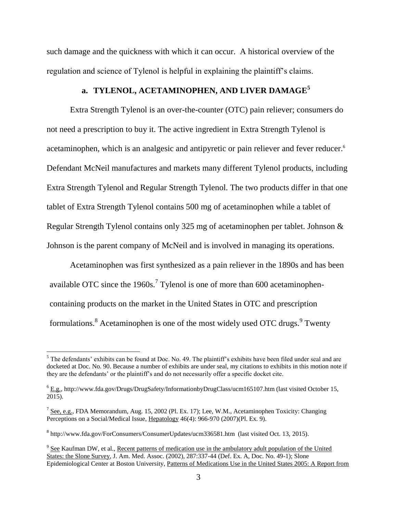such damage and the quickness with which it can occur. A historical overview of the regulation and science of Tylenol is helpful in explaining the plaintiff's claims.

# **a. TYLENOL, ACETAMINOPHEN, AND LIVER DAMAGE<sup>5</sup>**

Extra Strength Tylenol is an over-the-counter (OTC) pain reliever; consumers do not need a prescription to buy it. The active ingredient in Extra Strength Tylenol is acetaminophen, which is an analgesic and antipyretic or pain reliever and fever reducer. 6 Defendant McNeil manufactures and markets many different Tylenol products, including Extra Strength Tylenol and Regular Strength Tylenol. The two products differ in that one tablet of Extra Strength Tylenol contains 500 mg of acetaminophen while a tablet of Regular Strength Tylenol contains only 325 mg of acetaminophen per tablet. Johnson & Johnson is the parent company of McNeil and is involved in managing its operations.

Acetaminophen was first synthesized as a pain reliever in the 1890s and has been available OTC since the 1960s.<sup>7</sup> Tylenol is one of more than 600 acetaminophencontaining products on the market in the United States in OTC and prescription formulations.  $8$  Acetaminophen is one of the most widely used OTC drugs.  $9$  Twenty

l

 $<sup>5</sup>$  The defendants' exhibits can be found at Doc. No. 49. The plaintiff's exhibits have been filed under seal and are</sup> docketed at Doc. No. 90. Because a number of exhibits are under seal, my citations to exhibits in this motion note if they are the defendants' or the plaintiff's and do not necessarily offer a specific docket cite.

<sup>6</sup> E.g., http://www.fda.gov/Drugs/DrugSafety/InformationbyDrugClass/ucm165107.htm (last visited October 15, 2015).

 $^7$  See, e.g., FDA Memorandum, Aug. 15, 2002 (Pl. Ex. 17); Lee, W.M., Acetaminophen Toxicity: Changing Perceptions on a Social/Medical Issue, Hepatology 46(4): 966-970 (2007)(Pl. Ex. 9).

<sup>&</sup>lt;sup>8</sup> http://www.fda.gov/ForConsumers/ConsumerUpdates/ucm336581.htm (last visited Oct. 13, 2015).

<sup>&</sup>lt;sup>9</sup> See Kaufman DW, et al., Recent patterns of medication use in the ambulatory adult population of the United States: the Slone Survey, J. Am. Med. Assoc. (2002), 287:337-44 (Def. Ex. A, Doc. No. 49-1): Slone Epidemiological Center at Boston University, Patterns of Medications Use in the United States 2005: A Report from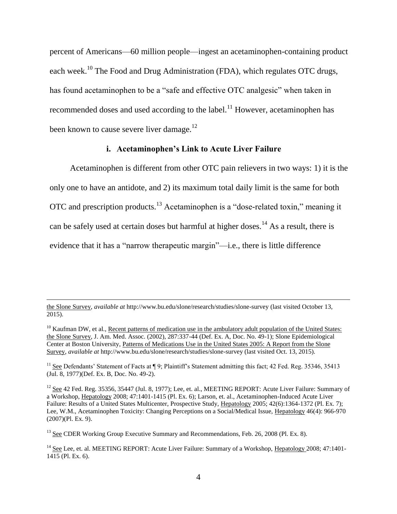percent of Americans—60 million people—ingest an acetaminophen-containing product each week.<sup>10</sup> The Food and Drug Administration (FDA), which regulates OTC drugs, has found acetaminophen to be a "safe and effective OTC analgesic" when taken in recommended doses and used according to the label.<sup>11</sup> However, acetaminophen has been known to cause severe liver damage.<sup>12</sup>

# **i. Acetaminophen's Link to Acute Liver Failure**

Acetaminophen is different from other OTC pain relievers in two ways: 1) it is the only one to have an antidote, and 2) its maximum total daily limit is the same for both OTC and prescription products.<sup>13</sup> Acetaminophen is a "dose-related toxin," meaning it can be safely used at certain doses but harmful at higher doses.<sup>14</sup> As a result, there is evidence that it has a "narrow therapeutic margin"—i.e., there is little difference

the Slone Survey, *available at* http://www.bu.edu/slone/research/studies/slone-survey (last visited October 13, 2015).

<sup>&</sup>lt;sup>10</sup> Kaufman DW, et al., Recent patterns of medication use in the ambulatory adult population of the United States: the Slone Survey, J. Am. Med. Assoc. (2002), 287:337-44 (Def. Ex. A, Doc. No. 49-1); Slone Epidemiological Center at Boston University, Patterns of Medications Use in the United States 2005: A Report from the Slone Survey, *available at* http://www.bu.edu/slone/research/studies/slone-survey (last visited Oct. 13, 2015).

<sup>&</sup>lt;sup>11</sup> See Defendants' Statement of Facts at  $\P$  9; Plaintiff's Statement admitting this fact; 42 Fed. Reg. 35346, 35413 (Jul. 8, 1977)(Def. Ex. B, Doc. No. 49-2).

<sup>&</sup>lt;sup>12</sup> See 42 Fed. Reg. 35356, 35447 (Jul. 8, 1977); Lee, et. al., MEETING REPORT: Acute Liver Failure: Summary of a Workshop, Hepatology 2008; 47:1401-1415 (Pl. Ex. 6); Larson, et. al., Acetaminophen-Induced Acute Liver Failure: Results of a United States Multicenter, Prospective Study, Hepatology 2005; 42(6):1364-1372 (Pl. Ex. 7); Lee, W.M., Acetaminophen Toxicity: Changing Perceptions on a Social/Medical Issue, Hepatology 46(4): 966-970 (2007)(Pl. Ex. 9).

<sup>&</sup>lt;sup>13</sup> See CDER Working Group Executive Summary and Recommendations, Feb. 26, 2008 (Pl. Ex. 8).

<sup>&</sup>lt;sup>14</sup> See Lee, et. al. MEETING REPORT: Acute Liver Failure: Summary of a Workshop, Hepatology 2008; 47:1401-1415 (Pl. Ex. 6).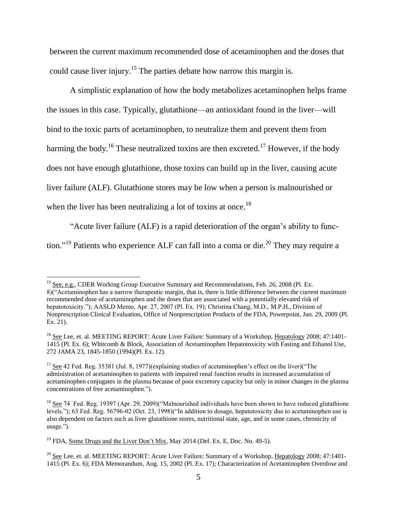between the current maximum recommended dose of acetaminophen and the doses that could cause liver injury.<sup>15</sup> The parties debate how narrow this margin is.

A simplistic explanation of how the body metabolizes acetaminophen helps frame the issues in this case. Typically, glutathione—an antioxidant found in the liver—will bind to the toxic parts of acetaminophen, to neutralize them and prevent them from harming the body.<sup>16</sup> These neutralized toxins are then excreted.<sup>17</sup> However, if the body does not have enough glutathione, those toxins can build up in the liver, causing acute liver failure (ALF). Glutathione stores may be low when a person is malnourished or when the liver has been neutralizing a lot of toxins at once.<sup>18</sup>

"Acute liver failure (ALF) is a rapid deterioration of the organ's ability to function."<sup>19</sup> Patients who experience ALF can fall into a coma or die.<sup>20</sup> They may require a

<sup>&</sup>lt;sup>15</sup> See, e.g., CDER Working Group Executive Summary and Recommendations, Feb. 26, 2008 (Pl. Ex. 8)("Acetaminophen has a narrow therapeutic margin, that is, there is little difference between the current maximum recommended dose of acetaminophen and the doses that are associated with a potentially elevated risk of hepatotoxicity."); AASLD Memo, Apr. 27, 2007 (Pl. Ex. 19); Christina Chang, M.D., M.P.H., Division of Nonprescription Clinical Evaluation, Office of Nonprescription Products of the FDA, Powerpoint, Jun. 29, 2009 (Pl. Ex. 21).

<sup>&</sup>lt;sup>16</sup> See Lee, et. al. MEETING REPORT: Acute Liver Failure: Summary of a Workshop, Hepatology 2008; 47:1401-1415 (Pl. Ex. 6); Whitcomb & Block, Association of Acetaminophen Hepatotoxicity with Fasting and Ethanol Use, 272 JAMA 23, 1845-1850 (1994)(Pl. Ex. 12).

 $17$  See 42 Fed. Reg. 35381 (Jul. 8, 1977)(explaining studies of acetaminophen's effect on the liver)("The administration of acetaminophen to patients with impaired renal function results in increased accumulation of acetaminophen conjugates in the plasma because of poor excretory capacity but only in minor changes in the plasma concentrations of free acetaminophen.").

<sup>&</sup>lt;sup>18</sup> See 74 Fed. Reg. 19397 (Apr. 29, 2009)("Malnourished individuals have been shown to have reduced glutathione levels."); 63 Fed. Reg. 56796-02 (Oct. 23, 1998)("In addition to dosage, hepatotoxicity due to acetaminophen use is also dependent on factors such as liver glutathione stores, nutritional state, age, and in some cases, chronicity of usage.").

<sup>&</sup>lt;sup>19</sup> FDA, Some Drugs and the Liver Don't Mix, May 2014 (Def. Ex. E, Doc. No. 49-5).

 $^{20}$  See Lee, et. al. MEETING REPORT: Acute Liver Failure: Summary of a Workshop, Hepatology 2008; 47:1401-1415 (Pl. Ex. 6); FDA Memorandum, Aug. 15, 2002 (Pl. Ex. 17); Characterization of Acetaminophen Overdose and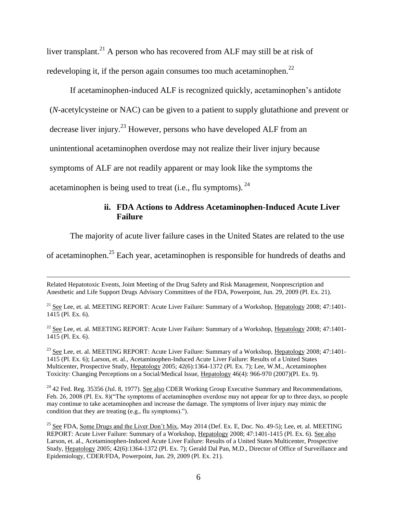liver transplant.<sup>21</sup> A person who has recovered from ALF may still be at risk of redeveloping it, if the person again consumes too much acetaminophen.<sup>22</sup>

If acetaminophen-induced ALF is recognized quickly, acetaminophen's antidote (*N*-acetylcysteine or NAC) can be given to a patient to supply glutathione and prevent or

decrease liver injury.<sup>23</sup> However, persons who have developed ALF from an

unintentional acetaminophen overdose may not realize their liver injury because

symptoms of ALF are not readily apparent or may look like the symptoms the

acetaminophen is being used to treat (i.e., flu symptoms).  $24$ 

 $\overline{\phantom{a}}$ 

# **ii. FDA Actions to Address Acetaminophen-Induced Acute Liver Failure**

The majority of acute liver failure cases in the United States are related to the use

of acetaminophen.<sup>25</sup> Each year, acetaminophen is responsible for hundreds of deaths and

Related Hepatotoxic Events, Joint Meeting of the Drug Safety and Risk Management, Nonprescription and Anesthetic and Life Support Drugs Advisory Committees of the FDA, Powerpoint, Jun. 29, 2009 (Pl. Ex. 21).

<sup>21</sup> See Lee, et. al. MEETING REPORT: Acute Liver Failure: Summary of a Workshop, Hepatology 2008; 47:1401-1415 (Pl. Ex. 6).

<sup>22</sup> See Lee, et. al. MEETING REPORT: Acute Liver Failure: Summary of a Workshop, Hepatology 2008; 47:1401-1415 (Pl. Ex. 6).

<sup>23</sup> See Lee, et. al. MEETING REPORT: Acute Liver Failure: Summary of a Workshop, Hepatology 2008; 47:1401-1415 (Pl. Ex. 6); Larson, et. al., Acetaminophen-Induced Acute Liver Failure: Results of a United States Multicenter, Prospective Study, Hepatology 2005; 42(6):1364-1372 (Pl. Ex. 7); Lee, W.M., Acetaminophen Toxicity: Changing Perceptions on a Social/Medical Issue, Hepatology 46(4): 966-970 (2007)(Pl. Ex. 9).

 $^{24}$  42 Fed. Reg. 35356 (Jul. 8, 1977). See also CDER Working Group Executive Summary and Recommendations, Feb. 26, 2008 (Pl. Ex. 8)("The symptoms of acetaminophen overdose may not appear for up to three days, so people may continue to take acetaminophen and increase the damage. The symptoms of liver injury may mimic the condition that they are treating (e.g., flu symptoms).").

<sup>25</sup> See FDA, Some Drugs and the Liver Don't Mix, May 2014 (Def. Ex. E, Doc. No. 49-5); Lee, et. al. MEETING REPORT: Acute Liver Failure: Summary of a Workshop, Hepatology 2008; 47:1401-1415 (Pl. Ex. 6). See also Larson, et. al., Acetaminophen-Induced Acute Liver Failure: Results of a United States Multicenter, Prospective Study, Hepatology 2005; 42(6):1364-1372 (Pl. Ex. 7); Gerald Dal Pan, M.D., Director of Office of Surveillance and Epidemiology, CDER/FDA, Powerpoint, Jun. 29, 2009 (Pl. Ex. 21).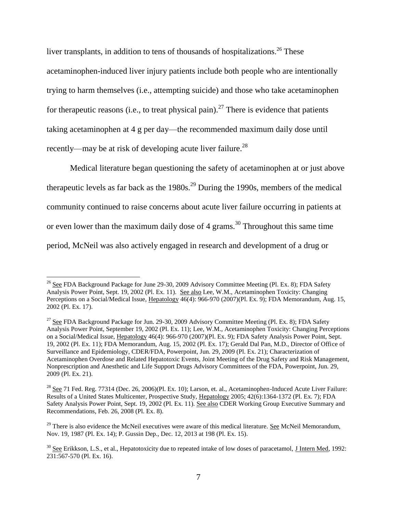liver transplants, in addition to tens of thousands of hospitalizations.<sup>26</sup> These acetaminophen-induced liver injury patients include both people who are intentionally trying to harm themselves (i.e., attempting suicide) and those who take acetaminophen for therapeutic reasons (i.e., to treat physical pain).<sup>27</sup> There is evidence that patients taking acetaminophen at 4 g per day—the recommended maximum daily dose until recently—may be at risk of developing acute liver failure.<sup>28</sup>

Medical literature began questioning the safety of acetaminophen at or just above therapeutic levels as far back as the  $1980s$ .<sup>29</sup> During the 1990s, members of the medical community continued to raise concerns about acute liver failure occurring in patients at or even lower than the maximum daily dose of 4 grams.<sup>30</sup> Throughout this same time period, McNeil was also actively engaged in research and development of a drug or

<sup>&</sup>lt;sup>26</sup> See FDA Background Package for June 29-30, 2009 Advisory Committee Meeting (Pl. Ex. 8); FDA Safety Analysis Power Point, Sept. 19, 2002 (Pl. Ex. 11). See also Lee, W.M., Acetaminophen Toxicity: Changing Perceptions on a Social/Medical Issue, Hepatology 46(4): 966-970 (2007)(Pl. Ex. 9); FDA Memorandum, Aug. 15, 2002 (Pl. Ex. 17).

 $27$  See FDA Background Package for Jun. 29-30, 2009 Advisory Committee Meeting (Pl. Ex. 8); FDA Safety Analysis Power Point, September 19, 2002 (Pl. Ex. 11); Lee, W.M., Acetaminophen Toxicity: Changing Perceptions on a Social/Medical Issue, Hepatology 46(4): 966-970 (2007)(Pl. Ex. 9); FDA Safety Analysis Power Point, Sept. 19, 2002 (Pl. Ex. 11); FDA Memorandum, Aug. 15, 2002 (Pl. Ex. 17); Gerald Dal Pan, M.D., Director of Office of Surveillance and Epidemiology, CDER/FDA, Powerpoint, Jun. 29, 2009 (Pl. Ex. 21); Characterization of Acetaminophen Overdose and Related Hepatotoxic Events, Joint Meeting of the Drug Safety and Risk Management, Nonprescription and Anesthetic and Life Support Drugs Advisory Committees of the FDA, Powerpoint, Jun. 29, 2009 (Pl. Ex. 21).

<sup>&</sup>lt;sup>28</sup> See 71 Fed. Reg. 77314 (Dec. 26, 2006)(Pl. Ex. 10); Larson, et. al., Acetaminophen-Induced Acute Liver Failure: Results of a United States Multicenter, Prospective Study, Hepatology 2005; 42(6):1364-1372 (Pl. Ex. 7); FDA Safety Analysis Power Point, Sept. 19, 2002 (Pl. Ex. 11). See also CDER Working Group Executive Summary and Recommendations, Feb. 26, 2008 (Pl. Ex. 8).

<sup>&</sup>lt;sup>29</sup> There is also evidence the McNeil executives were aware of this medical literature. See McNeil Memorandum, Nov. 19, 1987 (Pl. Ex. 14); P. Gussin Dep., Dec. 12, 2013 at 198 (Pl. Ex. 15).

 $30$  See Erikkson, L.S., et al., Hepatotoxicity due to repeated intake of low doses of paracetamol, J Intern Med, 1992: 231:567-570 (Pl. Ex. 16).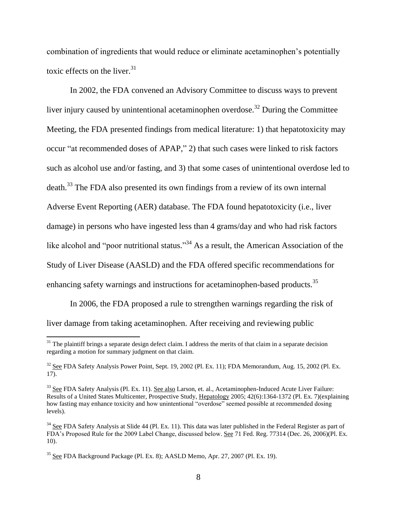combination of ingredients that would reduce or eliminate acetaminophen's potentially toxic effects on the liver. $31$ 

In 2002, the FDA convened an Advisory Committee to discuss ways to prevent liver injury caused by unintentional acetaminophen overdose.<sup>32</sup> During the Committee Meeting, the FDA presented findings from medical literature: 1) that hepatotoxicity may occur "at recommended doses of APAP," 2) that such cases were linked to risk factors such as alcohol use and/or fasting, and 3) that some cases of unintentional overdose led to death.<sup>33</sup> The FDA also presented its own findings from a review of its own internal Adverse Event Reporting (AER) database. The FDA found hepatotoxicity (i.e., liver damage) in persons who have ingested less than 4 grams/day and who had risk factors like alcohol and "poor nutritional status."<sup>34</sup> As a result, the American Association of the Study of Liver Disease (AASLD) and the FDA offered specific recommendations for enhancing safety warnings and instructions for acetaminophen-based products.<sup>35</sup>

In 2006, the FDA proposed a rule to strengthen warnings regarding the risk of liver damage from taking acetaminophen. After receiving and reviewing public

 $31$  The plaintiff brings a separate design defect claim. I address the merits of that claim in a separate decision regarding a motion for summary judgment on that claim.

<sup>&</sup>lt;sup>32</sup> See FDA Safety Analysis Power Point, Sept. 19, 2002 (Pl. Ex. 11); FDA Memorandum, Aug. 15, 2002 (Pl. Ex. 17).

<sup>&</sup>lt;sup>33</sup> See FDA Safety Analysis (Pl. Ex. 11). See also Larson, et. al., Acetaminophen-Induced Acute Liver Failure: Results of a United States Multicenter, Prospective Study, Hepatology 2005; 42(6):1364-1372 (Pl. Ex. 7)(explaining how fasting may enhance toxicity and how unintentional "overdose" seemed possible at recommended dosing levels).

 $34$  See FDA Safety Analysis at Slide 44 (Pl. Ex. 11). This data was later published in the Federal Register as part of FDA's Proposed Rule for the 2009 Label Change, discussed below. See 71 Fed. Reg. 77314 (Dec. 26, 2006)(Pl. Ex. 10).

<sup>35</sup> See FDA Background Package (Pl. Ex. 8); AASLD Memo, Apr. 27, 2007 (Pl. Ex. 19).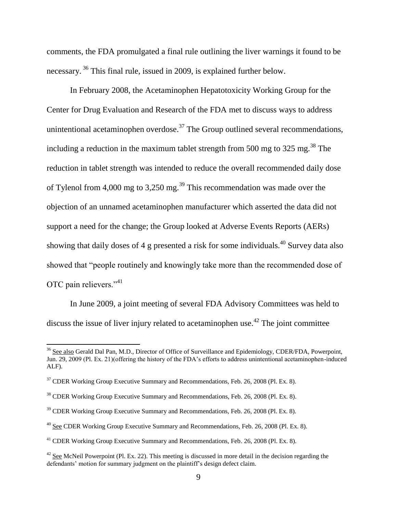comments, the FDA promulgated a final rule outlining the liver warnings it found to be necessary. <sup>36</sup> This final rule, issued in 2009, is explained further below.

In February 2008, the Acetaminophen Hepatotoxicity Working Group for the Center for Drug Evaluation and Research of the FDA met to discuss ways to address unintentional acetaminophen overdose.<sup>37</sup> The Group outlined several recommendations, including a reduction in the maximum tablet strength from 500 mg to 325 mg.<sup>38</sup> The reduction in tablet strength was intended to reduce the overall recommended daily dose of Tylenol from 4,000 mg to 3,250 mg.<sup>39</sup> This recommendation was made over the objection of an unnamed acetaminophen manufacturer which asserted the data did not support a need for the change; the Group looked at Adverse Events Reports (AERs) showing that daily doses of 4 g presented a risk for some individuals.<sup>40</sup> Survey data also showed that "people routinely and knowingly take more than the recommended dose of OTC pain relievers."<sup>41</sup>

In June 2009, a joint meeting of several FDA Advisory Committees was held to discuss the issue of liver injury related to acetaminophen use.<sup>42</sup> The joint committee

<sup>&</sup>lt;sup>36</sup> See also Gerald Dal Pan, M.D., Director of Office of Surveillance and Epidemiology, CDER/FDA, Powerpoint, Jun. 29, 2009 (Pl. Ex. 21)(offering the history of the FDA's efforts to address unintentional acetaminophen-induced ALF).

 $37$  CDER Working Group Executive Summary and Recommendations, Feb. 26, 2008 (Pl. Ex. 8).

<sup>38</sup> CDER Working Group Executive Summary and Recommendations, Feb. 26, 2008 (Pl. Ex. 8).

 $39$  CDER Working Group Executive Summary and Recommendations, Feb. 26, 2008 (Pl. Ex. 8).

<sup>&</sup>lt;sup>40</sup> See CDER Working Group Executive Summary and Recommendations, Feb. 26, 2008 (Pl. Ex. 8).

<sup>&</sup>lt;sup>41</sup> CDER Working Group Executive Summary and Recommendations, Feb. 26, 2008 (Pl. Ex. 8).

<sup>&</sup>lt;sup>42</sup> See McNeil Powerpoint (Pl. Ex. 22). This meeting is discussed in more detail in the decision regarding the defendants' motion for summary judgment on the plaintiff's design defect claim.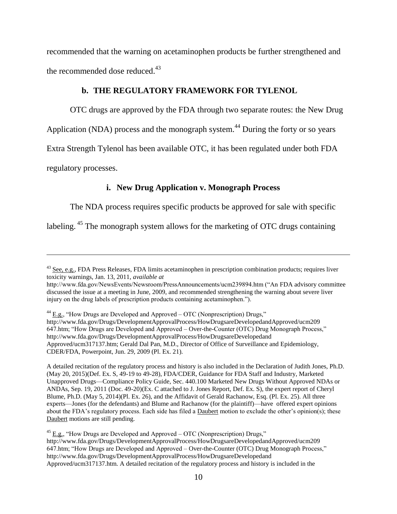recommended that the warning on acetaminophen products be further strengthened and the recommended dose reduced.<sup>43</sup>

## **b. THE REGULATORY FRAMEWORK FOR TYLENOL**

OTC drugs are approved by the FDA through two separate routes: the New Drug

Application (NDA) process and the monograph system.<sup>44</sup> During the forty or so years

Extra Strength Tylenol has been available OTC, it has been regulated under both FDA

regulatory processes.

 $\overline{\phantom{a}}$ 

# **i. New Drug Application v. Monograph Process**

The NDA process requires specific products be approved for sale with specific

labeling.<sup>45</sup> The monograph system allows for the marketing of OTC drugs containing

 $44$  E.g., "How Drugs are Developed and Approved – OTC (Nonprescription) Drugs," http://www.fda.gov/Drugs/DevelopmentApprovalProcess/HowDrugsareDevelopedandApproved/ucm209 647.htm; "How Drugs are Developed and Approved – Over-the-Counter (OTC) Drug Monograph Process," http://www.fda.gov/Drugs/DevelopmentApprovalProcess/HowDrugsareDevelopedand Approved/ucm317137.htm; Gerald Dal Pan, M.D., Director of Office of Surveillance and Epidemiology, CDER/FDA, Powerpoint, Jun. 29, 2009 (Pl. Ex. 21).

A detailed recitation of the regulatory process and history is also included in the Declaration of Judith Jones, Ph.D. (May 20, 2015)(Def. Ex. S, 49-19 to 49-28), FDA/CDER, Guidance for FDA Staff and Industry, Marketed Unapproved Drugs—Compliance Policy Guide, Sec. 440.100 Marketed New Drugs Without Approved NDAs or ANDAs, Sep. 19, 2011 (Doc. 49-20)(Ex. C attached to J. Jones Report, Def. Ex. S), the expert report of Cheryl Blume, Ph.D. (May 5, 2014)(Pl. Ex. 26), and the Affidavit of Gerald Rachanow, Esq. (Pl. Ex. 25). All three experts—Jones (for the defendants) and Blume and Rachanow (for the plaintiff)—have offered expert opinions about the FDA's regulatory process. Each side has filed a Daubert motion to exclude the other's opinion(s); these Daubert motions are still pending.

 $^{45}$  E.g., "How Drugs are Developed and Approved – OTC (Nonprescription) Drugs," http://www.fda.gov/Drugs/DevelopmentApprovalProcess/HowDrugsareDevelopedandApproved/ucm209 647.htm; "How Drugs are Developed and Approved – Over-the-Counter (OTC) Drug Monograph Process," http://www.fda.gov/Drugs/DevelopmentApprovalProcess/HowDrugsareDevelopedand Approved/ucm317137.htm. A detailed recitation of the regulatory process and history is included in the

<sup>&</sup>lt;sup>43</sup> See, e.g., FDA Press Releases, FDA limits acetaminophen in prescription combination products; requires liver toxicity warnings, Jan. 13, 2011, *available at*

http://www.fda.gov/NewsEvents/Newsroom/PressAnnouncements/ucm239894.htm ("An FDA advisory committee discussed the issue at a meeting in June, 2009, and recommended strengthening the warning about severe liver injury on the drug labels of prescription products containing acetaminophen.").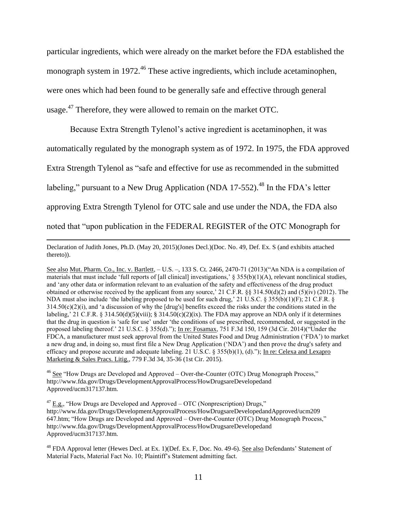particular ingredients, which were already on the market before the FDA established the monograph system in 1972.<sup>46</sup> These active ingredients, which include acetaminophen, were ones which had been found to be generally safe and effective through general usage.<sup>47</sup> Therefore, they were allowed to remain on the market OTC.

Because Extra Strength Tylenol's active ingredient is acetaminophen, it was automatically regulated by the monograph system as of 1972. In 1975, the FDA approved Extra Strength Tylenol as "safe and effective for use as recommended in the submitted labeling," pursuant to a New Drug Application (NDA 17-552).<sup>48</sup> In the FDA's letter approving Extra Strength Tylenol for OTC sale and use under the NDA, the FDA also noted that "upon publication in the FEDERAL REGISTER of the OTC Monograph for

Declaration of Judith Jones, Ph.D. (May 20, 2015)(Jones Decl.)(Doc. No. 49, Def. Ex. S (and exhibits attached thereto)).

 $\overline{a}$ 

See also Mut. Pharm. Co., Inc. v. Bartlett, – U.S. –, 133 S. Ct. 2466, 2470-71 (2013)("An NDA is a compilation of materials that must include 'full reports of [all clinical] investigations,'  $\S 355(b)(1)(A)$ , relevant nonclinical studies, and 'any other data or information relevant to an evaluation of the safety and effectiveness of the drug product obtained or otherwise received by the applicant from any source,' 21 C.F.R. §§ 314.50(d)(2) and (5)(iv) (2012). The NDA must also include 'the labeling proposed to be used for such drug,' 21 U.S.C. § 355(b)(1)(F); 21 C.F.R. §  $314.50(c)(2)(i)$ , and 'a discussion of why the [drug's] benefits exceed the risks under the conditions stated in the labeling,' 21 C.F.R. § 314.50(d)(5)(viii); § 314.50(c)(2)(ix). The FDA may approve an NDA only if it determines that the drug in question is 'safe for use' under 'the conditions of use prescribed, recommended, or suggested in the proposed labeling thereof.' 21 U.S.C. § 355(d)."); In re: Fosamax, 751 F.3d 150, 159 (3d Cir. 2014)("Under the FDCA, a manufacturer must seek approval from the United States Food and Drug Administration ('FDA') to market a new drug and, in doing so, must first file a New Drug Application ('NDA') and then prove the drug's safety and efficacy and propose accurate and adequate labeling. 21 U.S.C. § 355(b)(1), (d)."); In re: Celexa and Lexapro Marketing & Sales Pracs. Litig., 779 F.3d 34, 35-36 (1st Cir. 2015).

<sup>46</sup> See "How Drugs are Developed and Approved – Over-the-Counter (OTC) Drug Monograph Process," http://www.fda.gov/Drugs/DevelopmentApprovalProcess/HowDrugsareDevelopedand Approved/ucm317137.htm.

 $47$   $\underline{E.g.}$ , "How Drugs are Developed and Approved – OTC (Nonprescription) Drugs," http://www.fda.gov/Drugs/DevelopmentApprovalProcess/HowDrugsareDevelopedandApproved/ucm209 647.htm; "How Drugs are Developed and Approved – Over-the-Counter (OTC) Drug Monograph Process," http://www.fda.gov/Drugs/DevelopmentApprovalProcess/HowDrugsareDevelopedand Approved/ucm317137.htm.

<sup>48</sup> FDA Approval letter (Hewes Decl. at Ex. 1)(Def. Ex. F, Doc. No. 49-6). See also Defendants' Statement of Material Facts, Material Fact No. 10; Plaintiff's Statement admitting fact.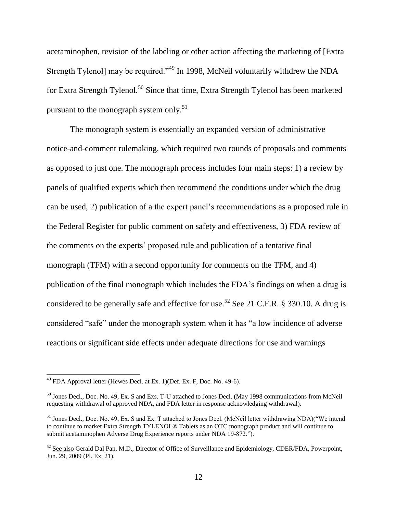acetaminophen, revision of the labeling or other action affecting the marketing of [Extra Strength Tylenol] may be required."<sup>49</sup> In 1998, McNeil voluntarily withdrew the NDA for Extra Strength Tylenol.<sup>50</sup> Since that time, Extra Strength Tylenol has been marketed pursuant to the monograph system only.<sup>51</sup>

The monograph system is essentially an expanded version of administrative notice-and-comment rulemaking, which required two rounds of proposals and comments as opposed to just one. The monograph process includes four main steps: 1) a review by panels of qualified experts which then recommend the conditions under which the drug can be used, 2) publication of a the expert panel's recommendations as a proposed rule in the Federal Register for public comment on safety and effectiveness, 3) FDA review of the comments on the experts' proposed rule and publication of a tentative final monograph (TFM) with a second opportunity for comments on the TFM, and 4) publication of the final monograph which includes the FDA's findings on when a drug is considered to be generally safe and effective for use.<sup>52</sup> See 21 C.F.R. § 330.10. A drug is considered "safe" under the monograph system when it has "a low incidence of adverse reactions or significant side effects under adequate directions for use and warnings

 $\overline{a}$ 

 $^{49}$  FDA Approval letter (Hewes Decl. at Ex. 1)(Def. Ex. F, Doc. No. 49-6).

<sup>50</sup> Jones Decl., Doc. No. 49, Ex. S and Exs. T-U attached to Jones Decl. (May 1998 communications from McNeil requesting withdrawal of approved NDA, and FDA letter in response acknowledging withdrawal).

<sup>&</sup>lt;sup>51</sup> Jones Decl., Doc. No. 49, Ex. S and Ex. T attached to Jones Decl. (McNeil letter withdrawing NDA)("We intend to continue to market Extra Strength TYLENOL® Tablets as an OTC monograph product and will continue to submit acetaminophen Adverse Drug Experience reports under NDA 19-872.").

<sup>&</sup>lt;sup>52</sup> See also Gerald Dal Pan, M.D., Director of Office of Surveillance and Epidemiology, CDER/FDA, Powerpoint, Jun. 29, 2009 (Pl. Ex. 21).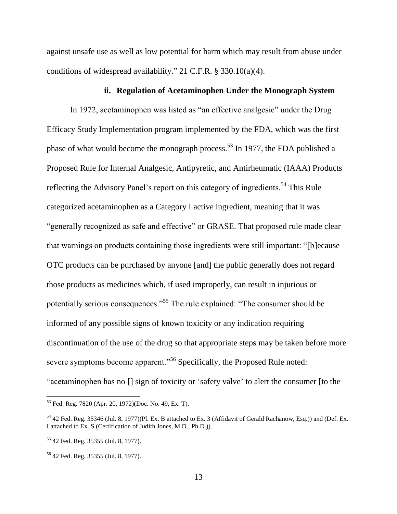against unsafe use as well as low potential for harm which may result from abuse under conditions of widespread availability." 21 C.F.R. § 330.10(a)(4).

## **ii. Regulation of Acetaminophen Under the Monograph System**

In 1972, acetaminophen was listed as "an effective analgesic" under the Drug Efficacy Study Implementation program implemented by the FDA, which was the first phase of what would become the monograph process.<sup>53</sup> In 1977, the FDA published a Proposed Rule for Internal Analgesic, Antipyretic, and Antirheumatic (IAAA) Products reflecting the Advisory Panel's report on this category of ingredients.<sup>54</sup> This Rule categorized acetaminophen as a Category I active ingredient, meaning that it was "generally recognized as safe and effective" or GRASE. That proposed rule made clear that warnings on products containing those ingredients were still important: "[b]ecause OTC products can be purchased by anyone [and] the public generally does not regard those products as medicines which, if used improperly, can result in injurious or potentially serious consequences."<sup>55</sup> The rule explained: "The consumer should be informed of any possible signs of known toxicity or any indication requiring discontinuation of the use of the drug so that appropriate steps may be taken before more severe symptoms become apparent."<sup>56</sup> Specifically, the Proposed Rule noted: "acetaminophen has no [] sign of toxicity or 'safety valve' to alert the consumer [to the

<sup>53</sup> Fed. Reg. 7820 (Apr. 20, 1972)(Doc. No. 49, Ex. T).

<sup>54</sup> 42 Fed. Reg. 35346 (Jul. 8, 1977)(Pl. Ex. B attached to Ex. 3 (Affidavit of Gerald Rachanow, Esq.)) and (Def. Ex. I attached to Ex. S (Certification of Judith Jones, M.D., Ph.D.)).

<sup>55</sup> 42 Fed. Reg. 35355 (Jul. 8, 1977).

<sup>56</sup> 42 Fed. Reg. 35355 (Jul. 8, 1977).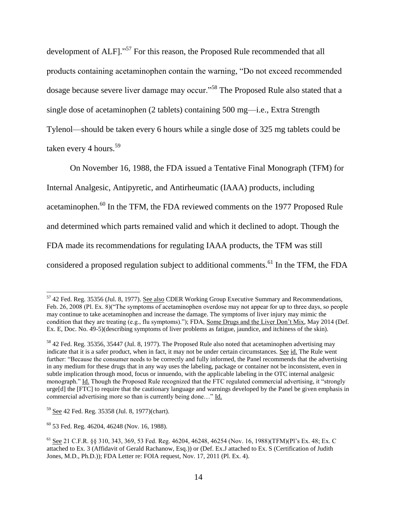development of ALF]."<sup>57</sup> For this reason, the Proposed Rule recommended that all products containing acetaminophen contain the warning, "Do not exceed recommended dosage because severe liver damage may occur."<sup>58</sup> The Proposed Rule also stated that a single dose of acetaminophen (2 tablets) containing 500 mg—i.e., Extra Strength Tylenol—should be taken every 6 hours while a single dose of 325 mg tablets could be taken every 4 hours.<sup>59</sup>

On November 16, 1988, the FDA issued a Tentative Final Monograph (TFM) for Internal Analgesic, Antipyretic, and Antirheumatic (IAAA) products, including acetaminophen.<sup>60</sup> In the TFM, the FDA reviewed comments on the 1977 Proposed Rule and determined which parts remained valid and which it declined to adopt. Though the FDA made its recommendations for regulating IAAA products, the TFM was still considered a proposed regulation subject to additional comments.<sup>61</sup> In the TFM, the FDA

 $57$  42 Fed. Reg. 35356 (Jul. 8, 1977). See also CDER Working Group Executive Summary and Recommendations, Feb. 26, 2008 (Pl. Ex. 8)("The symptoms of acetaminophen overdose may not appear for up to three days, so people may continue to take acetaminophen and increase the damage. The symptoms of liver injury may mimic the condition that they are treating (e.g., flu symptoms)."); FDA, Some Drugs and the Liver Don't Mix, May 2014 (Def. Ex. E, Doc. No. 49-5)(describing symptoms of liver problems as fatigue, jaundice, and itchiness of the skin).

<sup>58</sup> 42 Fed. Reg. 35356, 35447 (Jul. 8, 1977). The Proposed Rule also noted that acetaminophen advertising may indicate that it is a safer product, when in fact, it may not be under certain circumstances. See id. The Rule went further: "Because the consumer needs to be correctly and fully informed, the Panel recommends that the advertising in any medium for these drugs that in any way uses the labeling, package or container not be inconsistent, even in subtle implication through mood, focus or innuendo, with the applicable labeling in the OTC internal analgesic monograph." Id. Though the Proposed Rule recognized that the FTC regulated commercial advertising, it "strongly urge[d] the [FTC] to require that the cautionary language and warnings developed by the Panel be given emphasis in commercial advertising more so than is currently being done…" Id.

<sup>59</sup> See 42 Fed. Reg. 35358 (Jul. 8, 1977)(chart).

 $60$  53 Fed. Reg. 46204, 46248 (Nov. 16, 1988).

<sup>61</sup> See 21 C.F.R. §§ 310, 343, 369, 53 Fed. Reg. 46204, 46248, 46254 (Nov. 16, 1988)(TFM)(Pl's Ex. 48; Ex. C attached to Ex. 3 (Affidavit of Gerald Rachanow, Esq.)) or (Def. Ex.J attached to Ex. S (Certification of Judith Jones, M.D., Ph.D.)); FDA Letter re: FOIA request, Nov. 17, 2011 (Pl. Ex. 4).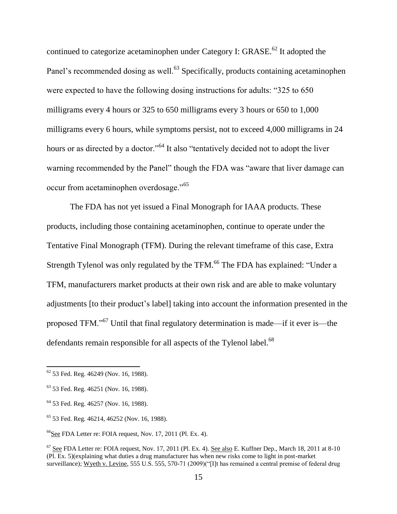continued to categorize acetaminophen under Category I: GRASE.<sup>62</sup> It adopted the Panel's recommended dosing as well.<sup>63</sup> Specifically, products containing acetaminophen were expected to have the following dosing instructions for adults: "325 to 650 milligrams every 4 hours or 325 to 650 milligrams every 3 hours or 650 to 1,000 milligrams every 6 hours, while symptoms persist, not to exceed 4,000 milligrams in 24 hours or as directed by a doctor."<sup>64</sup> It also "tentatively decided not to adopt the liver warning recommended by the Panel" though the FDA was "aware that liver damage can occur from acetaminophen overdosage."<sup>65</sup>

The FDA has not yet issued a Final Monograph for IAAA products. These products, including those containing acetaminophen, continue to operate under the Tentative Final Monograph (TFM). During the relevant timeframe of this case, Extra Strength Tylenol was only regulated by the TFM.<sup>66</sup> The FDA has explained: "Under a TFM, manufacturers market products at their own risk and are able to make voluntary adjustments [to their product's label] taking into account the information presented in the proposed TFM."<sup>67</sup> Until that final regulatory determination is made—if it ever is—the defendants remain responsible for all aspects of the Tylenol label.<sup>68</sup>

 $62$  53 Fed. Reg. 46249 (Nov. 16, 1988).

<sup>63</sup> 53 Fed. Reg. 46251 (Nov. 16, 1988).

<sup>64</sup> 53 Fed. Reg. 46257 (Nov. 16, 1988).

<sup>65</sup> 53 Fed. Reg. 46214, 46252 (Nov. 16, 1988).

 $66$ See FDA Letter re: FOIA request, Nov. 17, 2011 (Pl. Ex. 4).

 $67$  See FDA Letter re: FOIA request, Nov. 17, 2011 (Pl. Ex. 4). See also E. Kuffner Dep., March 18, 2011 at 8-10 (Pl. Ex. 5)(explaining what duties a drug manufacturer has when new risks come to light in post-market surveillance); Wyeth v. Levine, 555 U.S. 555, 570-71 (2009)("[I]t has remained a central premise of federal drug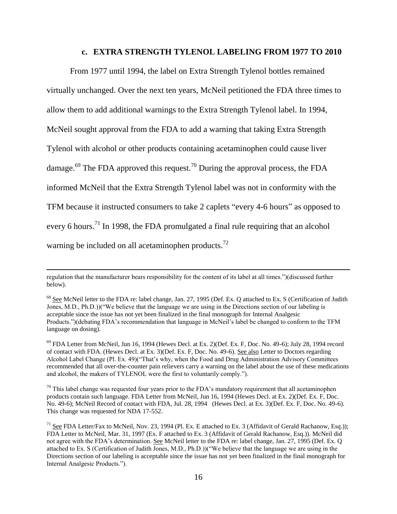#### **c. EXTRA STRENGTH TYLENOL LABELING FROM 1977 TO 2010**

From 1977 until 1994, the label on Extra Strength Tylenol bottles remained virtually unchanged. Over the next ten years, McNeil petitioned the FDA three times to allow them to add additional warnings to the Extra Strength Tylenol label. In 1994, McNeil sought approval from the FDA to add a warning that taking Extra Strength Tylenol with alcohol or other products containing acetaminophen could cause liver damage.<sup>69</sup> The FDA approved this request.<sup>70</sup> During the approval process, the FDA informed McNeil that the Extra Strength Tylenol label was not in conformity with the TFM because it instructed consumers to take 2 caplets "every 4-6 hours" as opposed to every 6 hours.<sup>71</sup> In 1998, the FDA promulgated a final rule requiring that an alcohol warning be included on all acetaminophen products. $^{72}$ 

 $\overline{a}$ 

regulation that the manufacturer bears responsibility for the content of its label at all times.")(discussed further below).

<sup>&</sup>lt;sup>68</sup> See McNeil letter to the FDA re: label change, Jan. 27, 1995 (Def. Ex. Q attached to Ex. S (Certification of Judith Jones, M.D., Ph.D.))("We believe that the language we are using in the Directions section of our labeling is acceptable since the issue has not yet been finalized in the final monograph for Internal Analgesic Products.")(debating FDA's recommendation that language in McNeil's label be changed to conform to the TFM language on dosing).

 $69$  FDA Letter from McNeil, Jun 16, 1994 (Hewes Decl. at Ex. 2)(Def. Ex. F, Doc. No. 49-6); July 28, 1994 record of contact with FDA. (Hewes Decl. at Ex. 3)(Def. Ex. F, Doc. No. 49-6). See also Letter to Doctors regarding Alcohol Label Change (Pl. Ex. 49)("That's why, when the Food and Drug Administration Advisory Committees recommended that all over-the-counter pain relievers carry a warning on the label about the use of these medications and alcohol, the makers of TYLENOL were the first to voluntarily comply.").

 $70$  This label change was requested four years prior to the FDA's mandatory requirement that all acetaminophen products contain such language. FDA Letter from McNeil, Jun 16, 1994 (Hewes Decl. at Ex. 2)(Def. Ex. F, Doc. No. 49-6); McNeil Record of contact with FDA, Jul. 28, 1994 (Hewes Decl. at Ex. 3)(Def. Ex. F, Doc. No. 49-6). This change was requested for NDA 17-552.

<sup>&</sup>lt;sup>71</sup> See FDA Letter/Fax to McNeil, Nov. 23, 1994 (Pl. Ex. E attached to Ex. 3 (Affidavit of Gerald Rachanow, Esq.)); FDA Letter to McNeil, Mar. 31, 1997 (Ex. F attached to Ex. 3 (Affidavit of Gerald Rachanow, Esq.)). McNeil did not agree with the FDA's determination. See McNeil letter to the FDA re: label change, Jan. 27, 1995 (Def. Ex. Q attached to Ex. S (Certification of Judith Jones, M.D., Ph.D.))("We believe that the language we are using in the Directions section of our labeling is acceptable since the issue has not yet been finalized in the final monograph for Internal Analgesic Products.").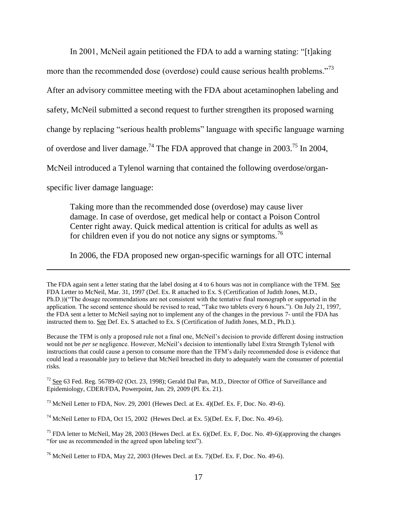In 2001, McNeil again petitioned the FDA to add a warning stating: "[t]aking more than the recommended dose (overdose) could cause serious health problems."<sup>73</sup> After an advisory committee meeting with the FDA about acetaminophen labeling and safety, McNeil submitted a second request to further strengthen its proposed warning change by replacing "serious health problems" language with specific language warning of overdose and liver damage.<sup>74</sup> The FDA approved that change in 2003.<sup>75</sup> In 2004, McNeil introduced a Tylenol warning that contained the following overdose/organ-

specific liver damage language:

 $\overline{a}$ 

Taking more than the recommended dose (overdose) may cause liver damage. In case of overdose, get medical help or contact a Poison Control Center right away. Quick medical attention is critical for adults as well as for children even if you do not notice any signs or symptoms.<sup>76</sup>

In 2006, the FDA proposed new organ-specific warnings for all OTC internal

The FDA again sent a letter stating that the label dosing at 4 to 6 hours was not in compliance with the TFM. See FDA Letter to McNeil, Mar. 31, 1997 (Def. Ex. R attached to Ex. S (Certification of Judith Jones, M.D., Ph.D.))("The dosage recommendations are not consistent with the tentative final monograph or supported in the application. The second sentence should be revised to read, "Take two tablets every 6 hours."). On July 21, 1997, the FDA sent a letter to McNeil saying not to implement any of the changes in the previous 7- until the FDA has instructed them to. See Def. Ex. S attached to Ex. S (Certification of Judith Jones, M.D., Ph.D.).

Because the TFM is only a proposed rule not a final one, McNeil's decision to provide different dosing instruction would not be *per se* negligence. However, McNeil's decision to intentionally label Extra Strength Tylenol with instructions that could cause a person to consume more than the TFM's daily recommended dose is evidence that could lead a reasonable jury to believe that McNeil breached its duty to adequately warn the consumer of potential risks.

<sup>72</sup> See 63 Fed. Reg. 56789-02 (Oct. 23, 1998); Gerald Dal Pan, M.D., Director of Office of Surveillance and Epidemiology, CDER/FDA, Powerpoint, Jun. 29, 2009 (Pl. Ex. 21).

 $^{73}$  McNeil Letter to FDA, Nov. 29, 2001 (Hewes Decl. at Ex. 4)(Def. Ex. F, Doc. No. 49-6).

 $^{74}$  McNeil Letter to FDA, Oct 15, 2002 (Hewes Decl. at Ex. 5)(Def. Ex. F, Doc. No. 49-6).

<sup>75</sup> FDA letter to McNeil, May 28, 2003 (Hewes Decl. at Ex. 6)(Def. Ex. F, Doc. No. 49-6)(approving the changes "for use as recommended in the agreed upon labeling text").

 $^{76}$  McNeil Letter to FDA, May 22, 2003 (Hewes Decl. at Ex. 7)(Def. Ex. F, Doc. No. 49-6).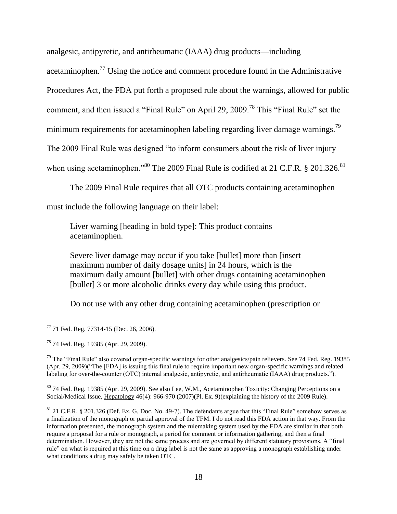analgesic, antipyretic, and antirheumatic (IAAA) drug products—including

acetaminophen.<sup>77</sup> Using the notice and comment procedure found in the Administrative

Procedures Act, the FDA put forth a proposed rule about the warnings, allowed for public

comment, and then issued a "Final Rule" on April 29, 2009.<sup>78</sup> This "Final Rule" set the

minimum requirements for acetaminophen labeling regarding liver damage warnings.<sup>79</sup>

The 2009 Final Rule was designed "to inform consumers about the risk of liver injury

when using acetaminophen."<sup>80</sup> The 2009 Final Rule is codified at 21 C.F.R. § 201.326.<sup>81</sup>

The 2009 Final Rule requires that all OTC products containing acetaminophen

must include the following language on their label:

Liver warning [heading in bold type]: This product contains acetaminophen.

Severe liver damage may occur if you take [bullet] more than [insert maximum number of daily dosage units] in 24 hours, which is the maximum daily amount [bullet] with other drugs containing acetaminophen [bullet] 3 or more alcoholic drinks every day while using this product.

Do not use with any other drug containing acetaminophen (prescription or

 $79$  The "Final Rule" also covered organ-specific warnings for other analgesics/pain relievers. See 74 Fed. Reg. 19385 (Apr. 29, 2009)("The [FDA] is issuing this final rule to require important new organ-specific warnings and related labeling for over-the-counter (OTC) internal analgesic, antipyretic, and antirheumatic (IAAA) drug products.").

<sup>80</sup> 74 Fed. Reg. 19385 (Apr. 29, 2009). See also Lee, W.M., Acetaminophen Toxicity: Changing Perceptions on a Social/Medical Issue, Hepatology 46(4): 966-970 (2007)(Pl. Ex. 9)(explaining the history of the 2009 Rule).

 $81$  21 C.F.R. § 201.326 (Def. Ex. G, Doc. No. 49-7). The defendants argue that this "Final Rule" somehow serves as a finalization of the monograph or partial approval of the TFM. I do not read this FDA action in that way. From the information presented, the monograph system and the rulemaking system used by the FDA are similar in that both require a proposal for a rule or monograph, a period for comment or information gathering, and then a final determination. However, they are not the same process and are governed by different statutory provisions. A "final rule" on what is required at this time on a drug label is not the same as approving a monograph establishing under what conditions a drug may safely be taken OTC.

 $\overline{\phantom{a}}$ 77 71 Fed. Reg. 77314-15 (Dec. 26, 2006).

<sup>78</sup> 74 Fed. Reg. 19385 (Apr. 29, 2009).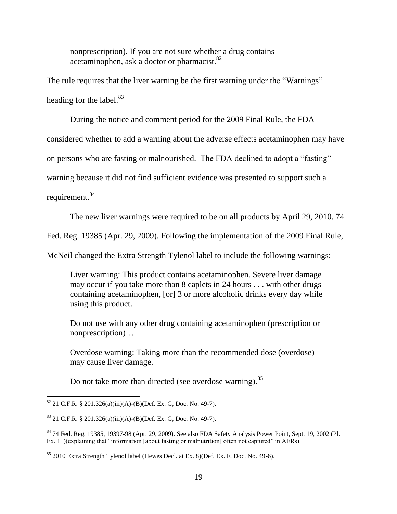nonprescription). If you are not sure whether a drug contains acetaminophen, ask a doctor or pharmacist.<sup>82</sup>

The rule requires that the liver warning be the first warning under the "Warnings" heading for the label. $83$ 

During the notice and comment period for the 2009 Final Rule, the FDA

considered whether to add a warning about the adverse effects acetaminophen may have

on persons who are fasting or malnourished. The FDA declined to adopt a "fasting"

warning because it did not find sufficient evidence was presented to support such a

requirement.<sup>84</sup>

The new liver warnings were required to be on all products by April 29, 2010. 74

Fed. Reg. 19385 (Apr. 29, 2009). Following the implementation of the 2009 Final Rule,

McNeil changed the Extra Strength Tylenol label to include the following warnings:

Liver warning: This product contains acetaminophen. Severe liver damage may occur if you take more than 8 caplets in 24 hours . . . with other drugs containing acetaminophen, [or] 3 or more alcoholic drinks every day while using this product.

Do not use with any other drug containing acetaminophen (prescription or nonprescription)…

Overdose warning: Taking more than the recommended dose (overdose) may cause liver damage.

Do not take more than directed (see overdose warning).<sup>85</sup>

 $\overline{\phantom{a}}$  $82$  21 C.F.R. § 201.326(a)(iii)(A)-(B)(Def. Ex. G, Doc. No. 49-7).

 $83$  21 C.F.R. § 201.326(a)(iii)(A)-(B)(Def. Ex. G, Doc. No. 49-7).

<sup>84</sup> 74 Fed. Reg. 19385, 19397-98 (Apr. 29, 2009). See also FDA Safety Analysis Power Point, Sept. 19, 2002 (Pl. Ex. 11)(explaining that "information [about fasting or malnutrition] often not captured" in AERs).

<sup>85</sup> 2010 Extra Strength Tylenol label (Hewes Decl. at Ex. 8)(Def. Ex. F, Doc. No. 49-6).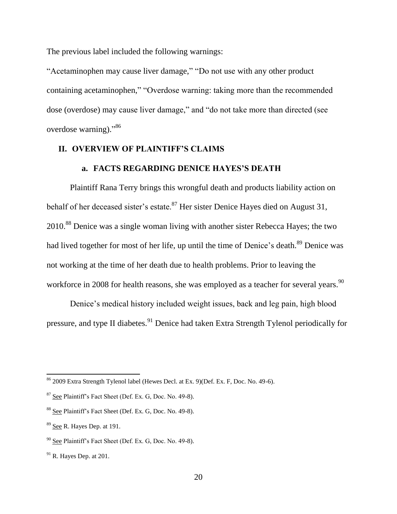The previous label included the following warnings:

"Acetaminophen may cause liver damage," "Do not use with any other product containing acetaminophen," "Overdose warning: taking more than the recommended dose (overdose) may cause liver damage," and "do not take more than directed (see overdose warning)."<sup>86</sup>

# **II. OVERVIEW OF PLAINTIFF'S CLAIMS**

# **a. FACTS REGARDING DENICE HAYES'S DEATH**

Plaintiff Rana Terry brings this wrongful death and products liability action on behalf of her deceased sister's estate.<sup>87</sup> Her sister Denice Hayes died on August 31, 2010.<sup>88</sup> Denice was a single woman living with another sister Rebecca Hayes; the two had lived together for most of her life, up until the time of Denice's death.<sup>89</sup> Denice was not working at the time of her death due to health problems. Prior to leaving the workforce in 2008 for health reasons, she was employed as a teacher for several years.<sup>90</sup>

Denice's medical history included weight issues, back and leg pain, high blood pressure, and type II diabetes.<sup>91</sup> Denice had taken Extra Strength Tylenol periodically for

 $\overline{a}$ 

 $86$  2009 Extra Strength Tylenol label (Hewes Decl. at Ex. 9)(Def. Ex. F, Doc. No. 49-6).

<sup>&</sup>lt;sup>87</sup> See Plaintiff's Fact Sheet (Def. Ex. G, Doc. No. 49-8).

<sup>&</sup>lt;sup>88</sup> See Plaintiff's Fact Sheet (Def. Ex. G, Doc. No. 49-8).

<sup>89</sup> See R. Hayes Dep. at 191.

<sup>&</sup>lt;sup>90</sup> See Plaintiff's Fact Sheet (Def. Ex. G, Doc. No. 49-8).

 $91$  R. Haves Dep. at 201.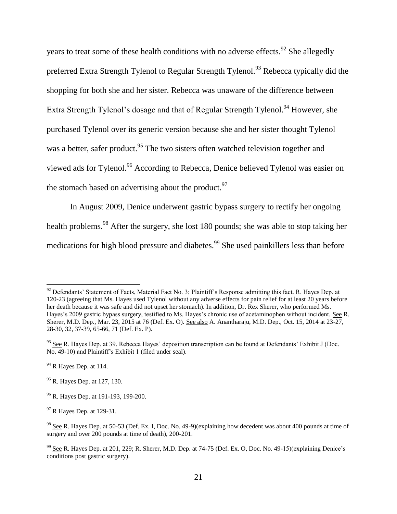years to treat some of these health conditions with no adverse effects.<sup>92</sup> She allegedly preferred Extra Strength Tylenol to Regular Strength Tylenol.<sup>93</sup> Rebecca typically did the shopping for both she and her sister. Rebecca was unaware of the difference between Extra Strength Tylenol's dosage and that of Regular Strength Tylenol.<sup>94</sup> However, she purchased Tylenol over its generic version because she and her sister thought Tylenol was a better, safer product.<sup>95</sup> The two sisters often watched television together and viewed ads for Tylenol.<sup>96</sup> According to Rebecca, Denice believed Tylenol was easier on the stomach based on advertising about the product. $97$ 

In August 2009, Denice underwent gastric bypass surgery to rectify her ongoing health problems.<sup>98</sup> After the surgery, she lost 180 pounds; she was able to stop taking her medications for high blood pressure and diabetes.<sup>99</sup> She used painkillers less than before

 $\overline{a}$ 

 $92$  Defendants' Statement of Facts, Material Fact No. 3; Plaintiff's Response admitting this fact. R. Hayes Dep. at 120-23 (agreeing that Ms. Hayes used Tylenol without any adverse effects for pain relief for at least 20 years before her death because it was safe and did not upset her stomach). In addition, Dr. Rex Sherer, who performed Ms. Hayes's 2009 gastric bypass surgery, testified to Ms. Hayes's chronic use of acetaminophen without incident. See R. Sherer, M.D. Dep., Mar. 23, 2015 at 76 (Def. Ex. O). See also A. Anantharaju, M.D. Dep., Oct. 15, 2014 at 23-27, 28-30, 32, 37-39, 65-66, 71 (Def. Ex. P).

<sup>&</sup>lt;sup>93</sup> See R. Hayes Dep. at 39. Rebecca Hayes' deposition transcription can be found at Defendants' Exhibit J (Doc. No. 49-10) and Plaintiff's Exhibit 1 (filed under seal).

 $94$  R Hayes Dep. at 114.

<sup>&</sup>lt;sup>95</sup> R. Hayes Dep. at 127, 130.

<sup>&</sup>lt;sup>96</sup> R. Hayes Dep. at 191-193, 199-200.

<sup>&</sup>lt;sup>97</sup> R Hayes Dep. at 129-31.

<sup>&</sup>lt;sup>98</sup> See R. Hayes Dep. at 50-53 (Def. Ex. I, Doc. No. 49-9)(explaining how decedent was about 400 pounds at time of surgery and over 200 pounds at time of death), 200-201.

 $99$  See R. Hayes Dep. at 201, 229; R. Sherer, M.D. Dep. at 74-75 (Def. Ex. O, Doc. No. 49-15)(explaining Denice's conditions post gastric surgery).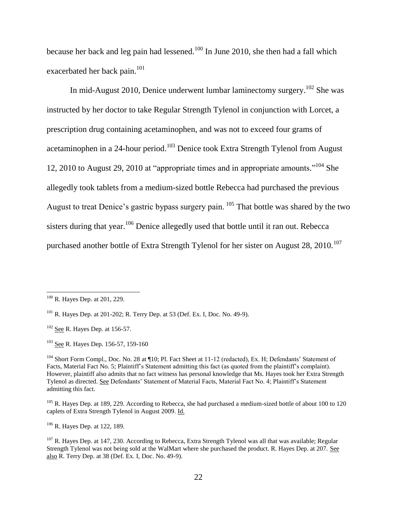because her back and leg pain had lessened.<sup>100</sup> In June 2010, she then had a fall which exacerbated her back pain.<sup>101</sup>

In mid-August 2010, Denice underwent lumbar laminectomy surgery.<sup>102</sup> She was instructed by her doctor to take Regular Strength Tylenol in conjunction with Lorcet, a prescription drug containing acetaminophen, and was not to exceed four grams of acetaminophen in a 24-hour period.<sup>103</sup> Denice took Extra Strength Tylenol from August 12, 2010 to August 29, 2010 at "appropriate times and in appropriate amounts."<sup>104</sup> She allegedly took tablets from a medium-sized bottle Rebecca had purchased the previous August to treat Denice's gastric bypass surgery pain. <sup>105</sup> That bottle was shared by the two sisters during that year.<sup>106</sup> Denice allegedly used that bottle until it ran out. Rebecca purchased another bottle of Extra Strength Tylenol for her sister on August  $28$ ,  $2010$ .<sup>107</sup>

 $\overline{\phantom{a}}$ 

<sup>103</sup> See R. Hayes Dep. 156-57, 159-160

<sup>106</sup> R. Hayes Dep. at 122, 189.

 $100$  R. Hayes Dep. at 201, 229.

<sup>101</sup> R. Hayes Dep. at 201-202; R. Terry Dep. at 53 (Def. Ex. I, Doc. No. 49-9).

 $102$  See R. Hayes Dep. at 156-57.

<sup>&</sup>lt;sup>104</sup> Short Form Compl., Doc. No. 28 at ¶10; Pl. Fact Sheet at 11-12 (redacted), Ex. H; Defendants' Statement of Facts, Material Fact No. 5; Plaintiff's Statement admitting this fact (as quoted from the plaintiff's complaint). However, plaintiff also admits that no fact witness has personal knowledge that Ms. Hayes took her Extra Strength Tylenol as directed. See Defendants' Statement of Material Facts, Material Fact No. 4; Plaintiff's Statement admitting this fact.

<sup>&</sup>lt;sup>105</sup> R. Hayes Dep. at 189, 229. According to Rebecca, she had purchased a medium-sized bottle of about 100 to 120 caplets of Extra Strength Tylenol in August 2009. Id.

 $107$  R. Hayes Dep. at 147, 230. According to Rebecca, Extra Strength Tylenol was all that was available; Regular Strength Tylenol was not being sold at the WalMart where she purchased the product. R. Hayes Dep. at 207. See also R. Terry Dep. at 38 (Def. Ex. I, Doc. No. 49-9).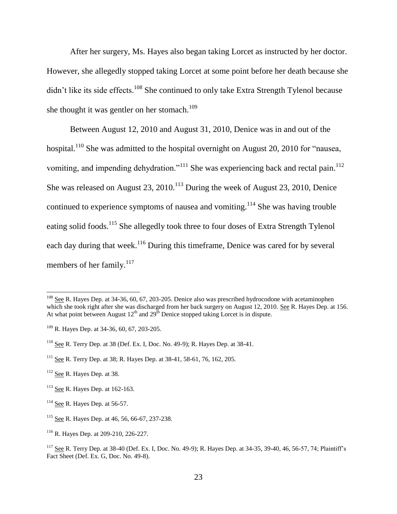After her surgery, Ms. Hayes also began taking Lorcet as instructed by her doctor. However, she allegedly stopped taking Lorcet at some point before her death because she didn't like its side effects.<sup>108</sup> She continued to only take Extra Strength Tylenol because she thought it was gentler on her stomach. $109$ 

Between August 12, 2010 and August 31, 2010, Denice was in and out of the hospital.<sup>110</sup> She was admitted to the hospital overnight on August 20, 2010 for "nausea, vomiting, and impending dehydration."<sup>111</sup> She was experiencing back and rectal pain.<sup>112</sup> She was released on August  $23$ ,  $2010$ .<sup>113</sup> During the week of August 23, 2010, Denice continued to experience symptoms of nausea and vomiting.<sup>114</sup> She was having trouble eating solid foods.<sup>115</sup> She allegedly took three to four doses of Extra Strength Tylenol each day during that week.<sup>116</sup> During this timeframe, Denice was cared for by several members of her family. $117$ 

<sup>&</sup>lt;sup>108</sup> See R. Hayes Dep. at 34-36, 60, 67, 203-205. Denice also was prescribed hydrocodone with acetaminophen which she took right after she was discharged from her back surgery on August 12, 2010. See R. Hayes Dep. at 156. At what point between August  $12<sup>th</sup>$  and  $29<sup>th</sup>$  Denice stopped taking Lorcet is in dispute.

 $109$  R. Hayes Dep. at 34-36, 60, 67, 203-205.

<sup>&</sup>lt;sup>110</sup> See R. Terry Dep. at 38 (Def. Ex. I, Doc. No. 49-9); R. Hayes Dep. at 38-41.

<sup>111</sup> See R. Terry Dep. at 38; R. Hayes Dep. at 38-41, 58-61, 76, 162, 205.

<sup>&</sup>lt;sup>112</sup> See R. Hayes Dep. at 38.

 $113$  See R. Hayes Dep. at 162-163.

 $114$  See R. Hayes Dep. at 56-57.

<sup>&</sup>lt;sup>115</sup> See R. Hayes Dep. at 46, 56, 66-67, 237-238.

<sup>116</sup> R. Hayes Dep. at 209-210, 226-227.

<sup>&</sup>lt;sup>117</sup> See R. Terry Dep. at 38-40 (Def. Ex. I, Doc. No. 49-9); R. Hayes Dep. at 34-35, 39-40, 46, 56-57, 74; Plaintiff's Fact Sheet (Def. Ex. G, Doc. No. 49-8).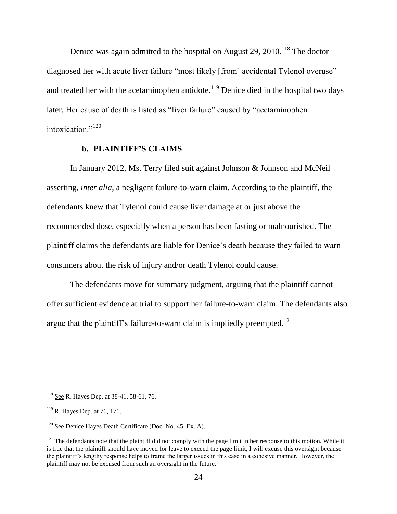Denice was again admitted to the hospital on August 29, 2010.<sup>118</sup> The doctor diagnosed her with acute liver failure "most likely [from] accidental Tylenol overuse" and treated her with the acetaminophen antidote.<sup>119</sup> Denice died in the hospital two days later. Her cause of death is listed as "liver failure" caused by "acetaminophen intoxication."<sup>120</sup>

# **b. PLAINTIFF'S CLAIMS**

In January 2012, Ms. Terry filed suit against Johnson & Johnson and McNeil asserting, *inter alia*, a negligent failure-to-warn claim. According to the plaintiff, the defendants knew that Tylenol could cause liver damage at or just above the recommended dose, especially when a person has been fasting or malnourished. The plaintiff claims the defendants are liable for Denice's death because they failed to warn consumers about the risk of injury and/or death Tylenol could cause.

The defendants move for summary judgment, arguing that the plaintiff cannot offer sufficient evidence at trial to support her failure-to-warn claim. The defendants also argue that the plaintiff's failure-to-warn claim is impliedly preempted.<sup>121</sup>

<sup>&</sup>lt;sup>118</sup> See R. Hayes Dep. at 38-41, 58-61, 76.

 $119$  R. Hayes Dep. at 76, 171.

<sup>&</sup>lt;sup>120</sup> See Denice Hayes Death Certificate (Doc. No. 45, Ex. A).

 $121$  The defendants note that the plaintiff did not comply with the page limit in her response to this motion. While it is true that the plaintiff should have moved for leave to exceed the page limit, I will excuse this oversight because the plaintiff's lengthy response helps to frame the larger issues in this case in a cohesive manner. However, the plaintiff may not be excused from such an oversight in the future.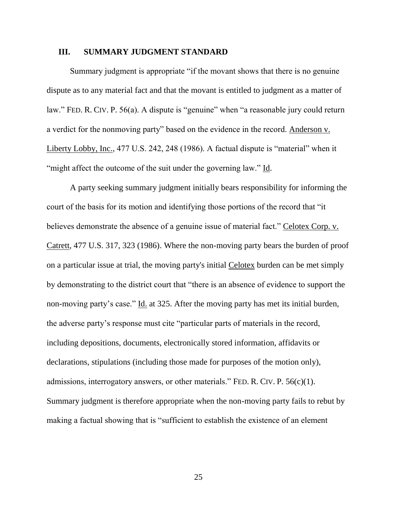#### **III. SUMMARY JUDGMENT STANDARD**

Summary judgment is appropriate "if the movant shows that there is no genuine dispute as to any material fact and that the movant is entitled to judgment as a matter of law." FED. R. CIV. P. 56(a). A dispute is "genuine" when "a reasonable jury could return a verdict for the nonmoving party" based on the evidence in the record. Anderson v. Liberty Lobby, Inc., 477 U.S. 242, 248 (1986). A factual dispute is "material" when it "might affect the outcome of the suit under the governing law." Id.

A party seeking summary judgment initially bears responsibility for informing the court of the basis for its motion and identifying those portions of the record that "it believes demonstrate the absence of a genuine issue of material fact." Celotex Corp. v. Catrett, 477 U.S. 317, 323 (1986). Where the non-moving party bears the burden of proof on a particular issue at trial, the moving party's initial Celotex burden can be met simply by demonstrating to the district court that "there is an absence of evidence to support the non-moving party's case." Id. at 325. After the moving party has met its initial burden, the adverse party's response must cite "particular parts of materials in the record, including depositions, documents, electronically stored information, affidavits or declarations, stipulations (including those made for purposes of the motion only), admissions, interrogatory answers, or other materials." FED. R. CIV. P. 56(c)(1). Summary judgment is therefore appropriate when the non-moving party fails to rebut by making a factual showing that is "sufficient to establish the existence of an element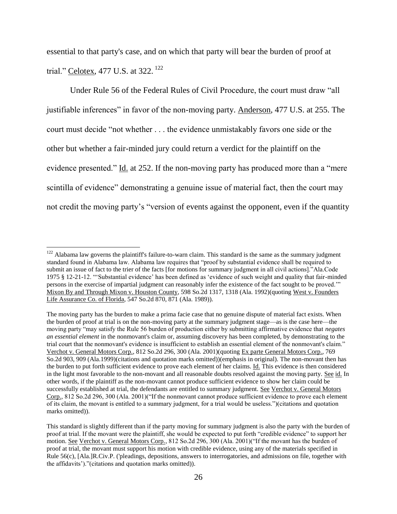essential to that party's case, and on which that party will bear the burden of proof at trial." Celotex, 477 U.S. at 322.<sup>122</sup>

Under Rule 56 of the Federal Rules of Civil Procedure, the court must draw "all justifiable inferences" in favor of the non-moving party. Anderson, 477 U.S. at 255. The court must decide "not whether . . . the evidence unmistakably favors one side or the other but whether a fair-minded jury could return a verdict for the plaintiff on the evidence presented." Id. at 252. If the non-moving party has produced more than a "mere scintilla of evidence" demonstrating a genuine issue of material fact, then the court may not credit the moving party's "version of events against the opponent, even if the quantity

 $122$  Alabama law governs the plaintiff's failure-to-warn claim. This standard is the same as the summary judgment standard found in Alabama law. Alabama law requires that "proof by substantial evidence shall be required to submit an issue of fact to the trier of the facts [for motions for summary judgment in all civil actions]."Ala.Code 1975 § 12-21-12. "'Substantial evidence' has been defined as 'evidence of such weight and quality that fair-minded persons in the exercise of impartial judgment can reasonably infer the existence of the fact sought to be proved.'" Mixon By and Through Mixon v. Houston County, 598 So.2d 1317, 1318 (Ala. 1992)(quoting West v. Founders Life Assurance Co. of Florida, 547 So.2d 870, 871 (Ala. 1989)).

The moving party has the burden to make a prima facie case that no genuine dispute of material fact exists. When the burden of proof at trial is on the non-moving party at the summary judgment stage—as is the case here—the moving party "may satisfy the Rule 56 burden of production either by submitting affirmative evidence that *negates an essential element* in the nonmovant's claim or, assuming discovery has been completed, by demonstrating to the trial court that the nonmovant's evidence is insufficient to establish an essential element of the nonmovant's claim." Verchot v. General Motors Corp., 812 So.2d 296, 300 (Ala. 2001)(quoting Ex parte General Motors Corp., 769 So.2d 903, 909 (Ala.1999)(citations and quotation marks omitted))(emphasis in original). The non-movant then has the burden to put forth sufficient evidence to prove each element of her claims. Id. This evidence is then considered in the light most favorable to the non-movant and all reasonable doubts resolved against the moving party. See id. In other words, if the plaintiff as the non-movant cannot produce sufficient evidence to show her claim could be successfully established at trial, the defendants are entitled to summary judgment. See Verchot v. General Motors Corp., 812 So.2d 296, 300 (Ala. 2001)("If the nonmovant cannot produce sufficient evidence to prove each element of its claim, the movant is entitled to a summary judgment, for a trial would be useless.")(citations and quotation marks omitted)).

This standard is slightly different than if the party moving for summary judgment is also the party with the burden of proof at trial. If the movant were the plaintiff, she would be expected to put forth "credible evidence" to support her motion. See Verchot v. General Motors Corp., 812 So.2d 296, 300 (Ala. 2001)("If the movant has the burden of proof at trial, the movant must support his motion with credible evidence, using any of the materials specified in Rule 56(c), [Ala.]R.Civ.P. ('pleadings, depositions, answers to interrogatories, and admissions on file, together with the affidavits')."(citations and quotation marks omitted)).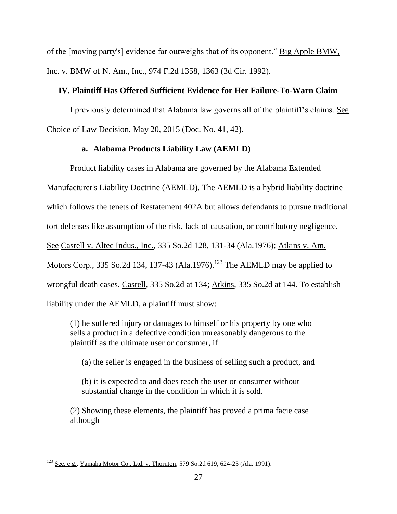of the [moving party's] evidence far outweighs that of its opponent." Big Apple BMW, Inc. v. BMW of N. Am., Inc., 974 F.2d 1358, 1363 (3d Cir. 1992).

# **IV. Plaintiff Has Offered Sufficient Evidence for Her Failure-To-Warn Claim**

I previously determined that Alabama law governs all of the plaintiff's claims. See Choice of Law Decision, May 20, 2015 (Doc. No. 41, 42).

# **a. Alabama Products Liability Law (AEMLD)**

Product liability cases in Alabama are governed by the Alabama Extended Manufacturer's Liability Doctrine (AEMLD). The AEMLD is a hybrid liability doctrine which follows the tenets of Restatement 402A but allows defendants to pursue traditional tort defenses like assumption of the risk, lack of causation, or contributory negligence. See Casrell v. Altec Indus., Inc., 335 So.2d 128, 131-34 (Ala.1976); Atkins v. Am. Motors Corp., 335 So.2d 134, 137-43 (Ala.1976).<sup>123</sup> The AEMLD may be applied to wrongful death cases. Casrell, 335 So.2d at 134; Atkins, 335 So.2d at 144. To establish liability under the AEMLD, a plaintiff must show:

(1) he suffered injury or damages to himself or his property by one who sells a product in a defective condition unreasonably dangerous to the plaintiff as the ultimate user or consumer, if

(a) the seller is engaged in the business of selling such a product, and

(b) it is expected to and does reach the user or consumer without substantial change in the condition in which it is sold.

(2) Showing these elements, the plaintiff has proved a prima facie case although

 $\overline{\phantom{a}}$  $^{123}$  See, e.g., Yamaha Motor Co., Ltd. v. Thornton, 579 So.2d 619, 624-25 (Ala. 1991).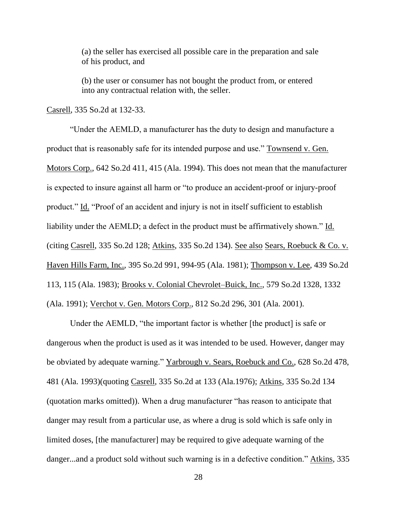(a) the seller has exercised all possible care in the preparation and sale of his product, and

(b) the user or consumer has not bought the product from, or entered into any contractual relation with, the seller.

Casrell, 335 So.2d at 132-33.

"Under the AEMLD, a manufacturer has the duty to design and manufacture a product that is reasonably safe for its intended purpose and use." Townsend v. Gen. Motors Corp., 642 So.2d 411, 415 (Ala. 1994). This does not mean that the manufacturer is expected to insure against all harm or "to produce an accident-proof or injury-proof product." Id. "Proof of an accident and injury is not in itself sufficient to establish liability under the AEMLD; a defect in the product must be affirmatively shown." Id. (citing Casrell, 335 So.2d 128; Atkins, 335 So.2d 134). See also Sears, Roebuck & Co. v. Haven Hills Farm, Inc., 395 So.2d 991, 994-95 (Ala. 1981); Thompson v. Lee, 439 So.2d 113, 115 (Ala. 1983); Brooks v. Colonial Chevrolet–Buick, Inc., 579 So.2d 1328, 1332 (Ala. 1991); Verchot v. Gen. Motors Corp., 812 So.2d 296, 301 (Ala. 2001).

Under the AEMLD, "the important factor is whether [the product] is safe or dangerous when the product is used as it was intended to be used. However, danger may be obviated by adequate warning." Yarbrough v. Sears, Roebuck and Co., 628 So.2d 478, 481 (Ala. 1993)(quoting Casrell, 335 So.2d at 133 (Ala.1976); Atkins, 335 So.2d 134 (quotation marks omitted)). When a drug manufacturer "has reason to anticipate that danger may result from a particular use, as where a drug is sold which is safe only in limited doses, [the manufacturer] may be required to give adequate warning of the danger...and a product sold without such warning is in a defective condition." Atkins, 335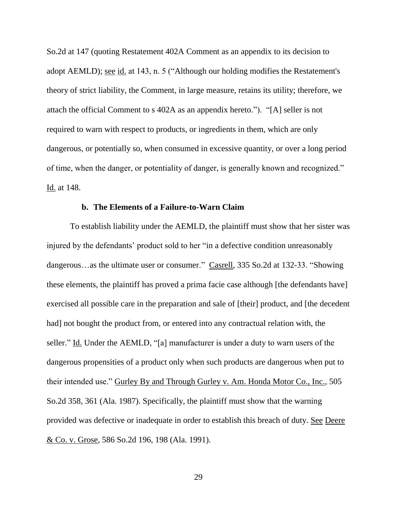So.2d at 147 (quoting Restatement 402A Comment as an appendix to its decision to adopt AEMLD); see id. at 143, n. 5 ("Although our holding modifies the Restatement's theory of strict liability, the Comment, in large measure, retains its utility; therefore, we attach the official Comment to s 402A as an appendix hereto."). "[A] seller is not required to warn with respect to products, or ingredients in them, which are only dangerous, or potentially so, when consumed in excessive quantity, or over a long period of time, when the danger, or potentiality of danger, is generally known and recognized." Id. at 148.

#### **b. The Elements of a Failure-to-Warn Claim**

To establish liability under the AEMLD, the plaintiff must show that her sister was injured by the defendants' product sold to her "in a defective condition unreasonably dangerous…as the ultimate user or consumer." Casrell, 335 So.2d at 132-33. "Showing these elements, the plaintiff has proved a prima facie case although [the defendants have] exercised all possible care in the preparation and sale of [their] product, and [the decedent had] not bought the product from, or entered into any contractual relation with, the seller." Id. Under the AEMLD, "[a] manufacturer is under a duty to warn users of the dangerous propensities of a product only when such products are dangerous when put to their intended use." Gurley By and Through Gurley v. Am. Honda Motor Co., Inc., 505 So.2d 358, 361 (Ala. 1987). Specifically, the plaintiff must show that the warning provided was defective or inadequate in order to establish this breach of duty. See Deere & Co. v. Grose, 586 So.2d 196, 198 (Ala. 1991).

29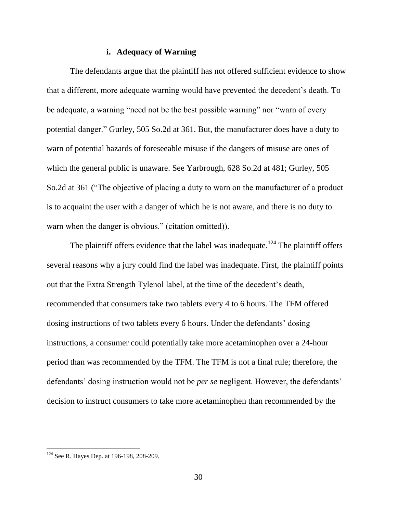### **i. Adequacy of Warning**

The defendants argue that the plaintiff has not offered sufficient evidence to show that a different, more adequate warning would have prevented the decedent's death. To be adequate, a warning "need not be the best possible warning" nor "warn of every potential danger." Gurley, 505 So.2d at 361. But, the manufacturer does have a duty to warn of potential hazards of foreseeable misuse if the dangers of misuse are ones of which the general public is unaware. See Yarbrough, 628 So.2d at 481; Gurley, 505 So.2d at 361 ("The objective of placing a duty to warn on the manufacturer of a product is to acquaint the user with a danger of which he is not aware, and there is no duty to warn when the danger is obvious." (citation omitted)).

The plaintiff offers evidence that the label was inadequate.<sup>124</sup> The plaintiff offers several reasons why a jury could find the label was inadequate. First, the plaintiff points out that the Extra Strength Tylenol label, at the time of the decedent's death, recommended that consumers take two tablets every 4 to 6 hours. The TFM offered dosing instructions of two tablets every 6 hours. Under the defendants' dosing instructions, a consumer could potentially take more acetaminophen over a 24-hour period than was recommended by the TFM. The TFM is not a final rule; therefore, the defendants' dosing instruction would not be *per se* negligent. However, the defendants' decision to instruct consumers to take more acetaminophen than recommended by the

 $124$  See R. Hayes Dep. at 196-198, 208-209.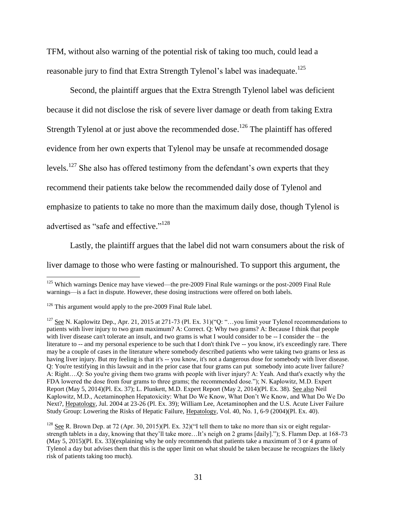TFM, without also warning of the potential risk of taking too much, could lead a reasonable jury to find that Extra Strength Tylenol's label was inadequate.<sup>125</sup>

Second, the plaintiff argues that the Extra Strength Tylenol label was deficient because it did not disclose the risk of severe liver damage or death from taking Extra Strength Tylenol at or just above the recommended dose.<sup>126</sup> The plaintiff has offered evidence from her own experts that Tylenol may be unsafe at recommended dosage levels.<sup>127</sup> She also has offered testimony from the defendant's own experts that they recommend their patients take below the recommended daily dose of Tylenol and emphasize to patients to take no more than the maximum daily dose, though Tylenol is advertised as "safe and effective."<sup>128</sup>

Lastly, the plaintiff argues that the label did not warn consumers about the risk of liver damage to those who were fasting or malnourished. To support this argument, the

<sup>&</sup>lt;sup>125</sup> Which warnings Denice may have viewed—the pre-2009 Final Rule warnings or the post-2009 Final Rule warnings—is a fact in dispute. However, these dosing instructions were offered on both labels.

 $126$  This argument would apply to the pre-2009 Final Rule label.

<sup>&</sup>lt;sup>127</sup> See N. Kaplowitz Dep., Apr. 21, 2015 at 271-73 (Pl. Ex. 31)("Q: "...you limit your Tylenol recommendations to patients with liver injury to two gram maximum? A: Correct. Q: Why two grams? A: Because I think that people with liver disease can't tolerate an insult, and two grams is what I would consider to be -- I consider the – the literature to -- and my personal experience to be such that I don't think I've -- you know, it's exceedingly rare. There may be a couple of cases in the literature where somebody described patients who were taking two grams or less as having liver injury. But my feeling is that it's -- you know, it's not a dangerous dose for somebody with liver disease. Q: You're testifying in this lawsuit and in the prior case that four grams can put somebody into acute liver failure? A: Right….Q: So you're giving them two grams with people with liver injury? A: Yeah. And that's exactly why the FDA lowered the dose from four grams to three grams; the recommended dose."); N. Kaplowitz, M.D. Expert Report (May 5, 2014)(Pl. Ex. 37); L. Plunkett, M.D. Expert Report (May 2, 2014)(Pl. Ex. 38). See also Neil Kaplowitz, M.D., Acetaminophen Hepatoxicity: What Do We Know, What Don't We Know, and What Do We Do Next?, Hepatology, Jul. 2004 at 23-26 (Pl. Ex. 39); William Lee, Acetaminophen and the U.S. Acute Liver Failure Study Group: Lowering the Risks of Hepatic Failure, Hepatology, Vol. 40, No. 1, 6-9 (2004)(Pl. Ex. 40).

<sup>&</sup>lt;sup>128</sup> See R. Brown Dep. at 72 (Apr. 30, 2015)(Pl. Ex. 32)("I tell them to take no more than six or eight regularstrength tablets in a day, knowing that they'll take more…It's neigh on 2 grams [daily]."); S. Flamm Dep. at 168-73 (May 5, 2015)(Pl. Ex. 33)(explaining why he only recommends that patients take a maximum of 3 or 4 grams of Tylenol a day but advises them that this is the upper limit on what should be taken because he recognizes the likely risk of patients taking too much).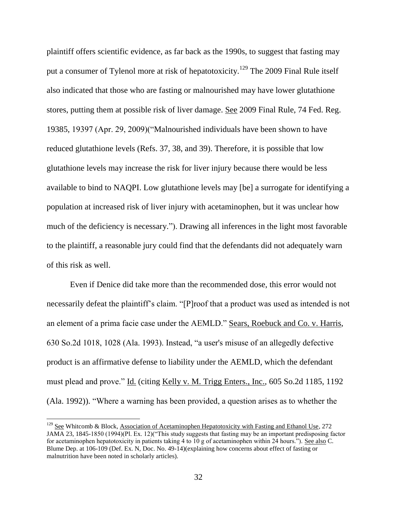plaintiff offers scientific evidence, as far back as the 1990s, to suggest that fasting may put a consumer of Tylenol more at risk of hepatotoxicity.<sup>129</sup> The 2009 Final Rule itself also indicated that those who are fasting or malnourished may have lower glutathione stores, putting them at possible risk of liver damage. See 2009 Final Rule, 74 Fed. Reg. 19385, 19397 (Apr. 29, 2009)("Malnourished individuals have been shown to have reduced glutathione levels (Refs. 37, 38, and 39). Therefore, it is possible that low glutathione levels may increase the risk for liver injury because there would be less available to bind to NAQPI. Low glutathione levels may [be] a surrogate for identifying a population at increased risk of liver injury with acetaminophen, but it was unclear how much of the deficiency is necessary."). Drawing all inferences in the light most favorable to the plaintiff, a reasonable jury could find that the defendants did not adequately warn of this risk as well.

Even if Denice did take more than the recommended dose, this error would not necessarily defeat the plaintiff's claim. "[P]roof that a product was used as intended is not an element of a prima facie case under the AEMLD." Sears, Roebuck and Co. v. Harris, 630 So.2d 1018, 1028 (Ala. 1993). Instead, "a user's misuse of an allegedly defective product is an affirmative defense to liability under the AEMLD, which the defendant must plead and prove." Id. (citing Kelly v. M. Trigg Enters., Inc., 605 So.2d 1185, 1192 (Ala. 1992)). "Where a warning has been provided, a question arises as to whether the

l

 $129$  See Whitcomb & Block, Association of Acetaminophen Hepatotoxicity with Fasting and Ethanol Use, 272 JAMA 23, 1845-1850 (1994)(Pl. Ex. 12)("This study suggests that fasting may be an important predisposing factor for acetaminophen hepatotoxicity in patients taking 4 to 10 g of acetaminophen within 24 hours."). See also C. Blume Dep. at 106-109 (Def. Ex. N, Doc. No. 49-14)(explaining how concerns about effect of fasting or malnutrition have been noted in scholarly articles).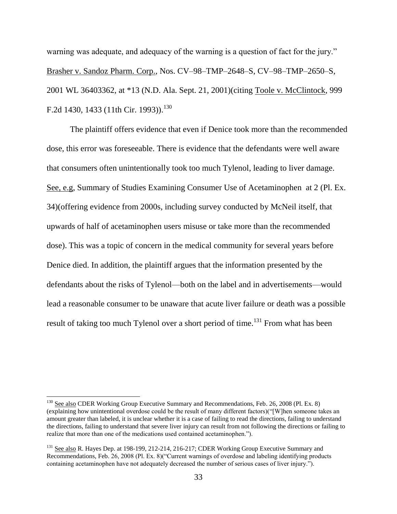warning was adequate, and adequacy of the warning is a question of fact for the jury." Brasher v. Sandoz Pharm. Corp., Nos. CV–98–TMP–2648–S, CV–98–TMP–2650–S, 2001 WL 36403362, at \*13 (N.D. Ala. Sept. 21, 2001)(citing Toole v. McClintock, 999 F.2d 1430, 1433 (11th Cir. 1993)).<sup>130</sup>

The plaintiff offers evidence that even if Denice took more than the recommended dose, this error was foreseeable. There is evidence that the defendants were well aware that consumers often unintentionally took too much Tylenol, leading to liver damage. See, e.g, Summary of Studies Examining Consumer Use of Acetaminophen at 2 (Pl. Ex. 34)(offering evidence from 2000s, including survey conducted by McNeil itself, that upwards of half of acetaminophen users misuse or take more than the recommended dose). This was a topic of concern in the medical community for several years before Denice died. In addition, the plaintiff argues that the information presented by the defendants about the risks of Tylenol—both on the label and in advertisements—would lead a reasonable consumer to be unaware that acute liver failure or death was a possible result of taking too much Tylenol over a short period of time.<sup>131</sup> From what has been

<sup>&</sup>lt;sup>130</sup> See also CDER Working Group Executive Summary and Recommendations, Feb. 26, 2008 (Pl. Ex. 8) (explaining how unintentional overdose could be the result of many different factors)("[W]hen someone takes an amount greater than labeled, it is unclear whether it is a case of failing to read the directions, failing to understand the directions, failing to understand that severe liver injury can result from not following the directions or failing to realize that more than one of the medications used contained acetaminophen.").

<sup>&</sup>lt;sup>131</sup> See also R. Hayes Dep. at 198-199, 212-214, 216-217; CDER Working Group Executive Summary and Recommendations, Feb. 26, 2008 (Pl. Ex. 8)("Current warnings of overdose and labeling identifying products containing acetaminophen have not adequately decreased the number of serious cases of liver injury.").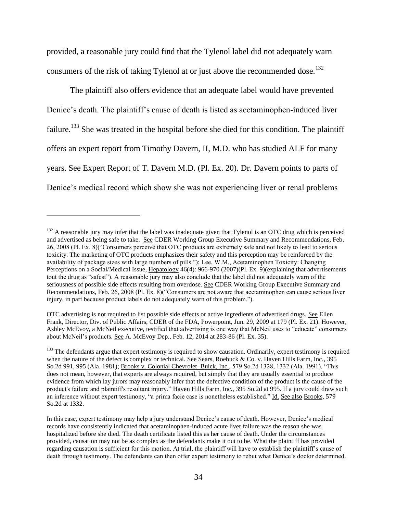provided, a reasonable jury could find that the Tylenol label did not adequately warn consumers of the risk of taking Tylenol at or just above the recommended dose.<sup>132</sup>

The plaintiff also offers evidence that an adequate label would have prevented Denice's death. The plaintiff's cause of death is listed as acetaminophen-induced liver failure.<sup>133</sup> She was treated in the hospital before she died for this condition. The plaintiff offers an expert report from Timothy Davern, II, M.D. who has studied ALF for many years. See Expert Report of T. Davern M.D. (Pl. Ex. 20). Dr. Davern points to parts of Denice's medical record which show she was not experiencing liver or renal problems

 $132$  A reasonable jury may infer that the label was inadequate given that Tylenol is an OTC drug which is perceived and advertised as being safe to take. See CDER Working Group Executive Summary and Recommendations, Feb. 26, 2008 (Pl. Ex. 8)("Consumers perceive that OTC products are extremely safe and not likely to lead to serious toxicity. The marketing of OTC products emphasizes their safety and this perception may be reinforced by the availability of package sizes with large numbers of pills."); Lee, W.M., Acetaminophen Toxicity: Changing Perceptions on a Social/Medical Issue, Hepatology 46(4): 966-970 (2007)(Pl. Ex. 9)(explaining that advertisements tout the drug as "safest"). A reasonable jury may also conclude that the label did not adequately warn of the seriousness of possible side effects resulting from overdose. See CDER Working Group Executive Summary and Recommendations, Feb. 26, 2008 (Pl. Ex. 8)("Consumers are not aware that acetaminophen can cause serious liver injury, in part because product labels do not adequately warn of this problem.").

OTC advertising is not required to list possible side effects or active ingredients of advertised drugs. See Ellen Frank, Director, Div. of Public Affairs, CDER of the FDA, Powerpoint, Jun. 29, 2009 at 179 (Pl. Ex. 21). However, Ashley McEvoy, a McNeil executive, testified that advertising is one way that McNeil uses to "educate" consumers about McNeil's products. See A. McEvoy Dep., Feb. 12, 2014 at 283-86 (Pl. Ex. 35).

<sup>&</sup>lt;sup>133</sup> The defendants argue that expert testimony is required to show causation. Ordinarily, expert testimony is required when the nature of the defect is complex or technical. See Sears, Roebuck & Co. v. Haven Hills Farm, Inc., 395 So.2d 991, 995 (Ala. 1981); Brooks v. Colonial Chevrolet–Buick, Inc., 579 So.2d 1328, 1332 (Ala. 1991). "This does not mean, however, that experts are always required, but simply that they are usually essential to produce evidence from which lay jurors may reasonably infer that the defective condition of the product is the cause of the product's failure and plaintiff's resultant injury." Haven Hills Farm, Inc., 395 So.2d at 995. If a jury could draw such an inference without expert testimony, "a prima facie case is nonetheless established." Id. See also Brooks, 579 So.2d at 1332.

In this case, expert testimony may help a jury understand Denice's cause of death. However, Denice's medical records have consistently indicated that acetaminophen-induced acute liver failure was the reason she was hospitalized before she died. The death certificate listed this as her cause of death. Under the circumstances provided, causation may not be as complex as the defendants make it out to be. What the plaintiff has provided regarding causation is sufficient for this motion. At trial, the plaintiff will have to establish the plaintiff's cause of death through testimony. The defendants can then offer expert testimony to rebut what Denice's doctor determined.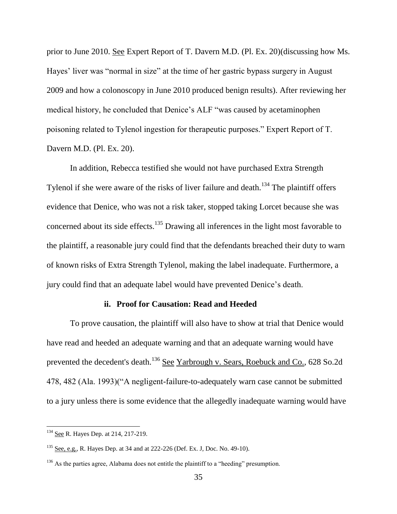prior to June 2010. See Expert Report of T. Davern M.D. (Pl. Ex. 20)(discussing how Ms. Hayes' liver was "normal in size" at the time of her gastric bypass surgery in August 2009 and how a colonoscopy in June 2010 produced benign results). After reviewing her medical history, he concluded that Denice's ALF "was caused by acetaminophen poisoning related to Tylenol ingestion for therapeutic purposes." Expert Report of T. Davern M.D. (Pl. Ex. 20).

In addition, Rebecca testified she would not have purchased Extra Strength Tylenol if she were aware of the risks of liver failure and death.<sup>134</sup> The plaintiff offers evidence that Denice, who was not a risk taker, stopped taking Lorcet because she was concerned about its side effects.<sup>135</sup> Drawing all inferences in the light most favorable to the plaintiff, a reasonable jury could find that the defendants breached their duty to warn of known risks of Extra Strength Tylenol, making the label inadequate. Furthermore, a jury could find that an adequate label would have prevented Denice's death.

# **ii. Proof for Causation: Read and Heeded**

To prove causation, the plaintiff will also have to show at trial that Denice would have read and heeded an adequate warning and that an adequate warning would have prevented the decedent's death.<sup>136</sup> See Yarbrough v. Sears, Roebuck and Co., 628 So.2d 478, 482 (Ala. 1993)("A negligent-failure-to-adequately warn case cannot be submitted to a jury unless there is some evidence that the allegedly inadequate warning would have

 $\overline{a}$ 

<sup>&</sup>lt;sup>134</sup> See R. Hayes Dep. at 214, 217-219.

 $135$  See, e.g., R. Hayes Dep. at 34 and at 222-226 (Def. Ex. J, Doc. No. 49-10).

<sup>&</sup>lt;sup>136</sup> As the parties agree, Alabama does not entitle the plaintiff to a "heeding" presumption.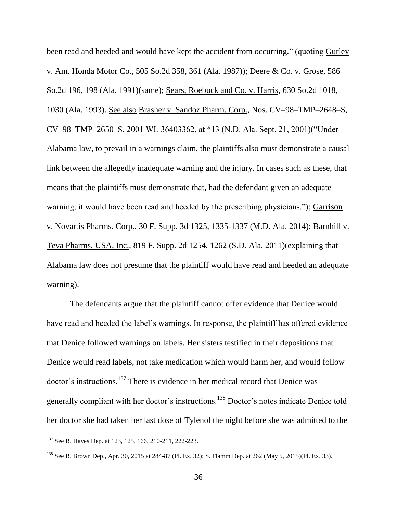been read and heeded and would have kept the accident from occurring." (quoting Gurley v. Am. Honda Motor Co., 505 So.2d 358, 361 (Ala. 1987)); Deere & Co. v. Grose, 586 So.2d 196, 198 (Ala. 1991)(same); Sears, Roebuck and Co. v. Harris, 630 So.2d 1018, 1030 (Ala. 1993). See also Brasher v. Sandoz Pharm. Corp., Nos. CV–98–TMP–2648–S, CV–98–TMP–2650–S, 2001 WL 36403362, at \*13 (N.D. Ala. Sept. 21, 2001)("Under Alabama law, to prevail in a warnings claim, the plaintiffs also must demonstrate a causal link between the allegedly inadequate warning and the injury. In cases such as these, that means that the plaintiffs must demonstrate that, had the defendant given an adequate warning, it would have been read and heeded by the prescribing physicians."); Garrison v. Novartis Pharms. Corp., 30 F. Supp. 3d 1325, 1335-1337 (M.D. Ala. 2014); Barnhill v. Teva Pharms. USA, Inc., 819 F. Supp. 2d 1254, 1262 (S.D. Ala. 2011)(explaining that Alabama law does not presume that the plaintiff would have read and heeded an adequate warning).

The defendants argue that the plaintiff cannot offer evidence that Denice would have read and heeded the label's warnings. In response, the plaintiff has offered evidence that Denice followed warnings on labels. Her sisters testified in their depositions that Denice would read labels, not take medication which would harm her, and would follow doctor's instructions.<sup>137</sup> There is evidence in her medical record that Denice was generally compliant with her doctor's instructions.<sup>138</sup> Doctor's notes indicate Denice told her doctor she had taken her last dose of Tylenol the night before she was admitted to the

<sup>&</sup>lt;sup>137</sup> See R. Hayes Dep. at 123, 125, 166, 210-211, 222-223.

<sup>138</sup> See R. Brown Dep., Apr. 30, 2015 at 284-87 (Pl. Ex. 32); S. Flamm Dep. at 262 (May 5, 2015)(Pl. Ex. 33).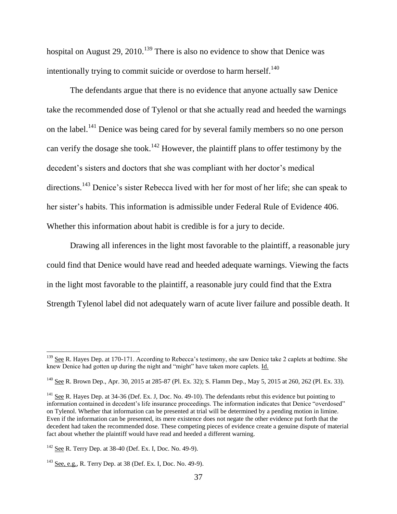hospital on August 29, 2010.<sup>139</sup> There is also no evidence to show that Denice was intentionally trying to commit suicide or overdose to harm herself. $140$ 

The defendants argue that there is no evidence that anyone actually saw Denice take the recommended dose of Tylenol or that she actually read and heeded the warnings on the label.<sup>141</sup> Denice was being cared for by several family members so no one person can verify the dosage she took.<sup>142</sup> However, the plaintiff plans to offer testimony by the decedent's sisters and doctors that she was compliant with her doctor's medical directions.<sup>143</sup> Denice's sister Rebecca lived with her for most of her life; she can speak to her sister's habits. This information is admissible under Federal Rule of Evidence 406. Whether this information about habit is credible is for a jury to decide.

Drawing all inferences in the light most favorable to the plaintiff, a reasonable jury could find that Denice would have read and heeded adequate warnings. Viewing the facts in the light most favorable to the plaintiff, a reasonable jury could find that the Extra Strength Tylenol label did not adequately warn of acute liver failure and possible death. It

l

<sup>&</sup>lt;sup>139</sup> See R. Hayes Dep. at 170-171. According to Rebecca's testimony, she saw Denice take 2 caplets at bedtime. She knew Denice had gotten up during the night and "might" have taken more caplets. Id.

<sup>&</sup>lt;sup>140</sup> See R. Brown Dep., Apr. 30, 2015 at 285-87 (Pl. Ex. 32); S. Flamm Dep., May 5, 2015 at 260, 262 (Pl. Ex. 33).

 $141$  See R. Hayes Dep. at 34-36 (Def. Ex. J, Doc. No. 49-10). The defendants rebut this evidence but pointing to information contained in decedent's life insurance proceedings. The information indicates that Denice "overdosed" on Tylenol. Whether that information can be presented at trial will be determined by a pending motion in limine. Even if the information can be presented, its mere existence does not negate the other evidence put forth that the decedent had taken the recommended dose. These competing pieces of evidence create a genuine dispute of material fact about whether the plaintiff would have read and heeded a different warning.

<sup>142</sup> See R. Terry Dep. at 38-40 (Def. Ex. I, Doc. No. 49-9).

<sup>&</sup>lt;sup>143</sup> See, e.g., R. Terry Dep. at 38 (Def. Ex. I, Doc. No. 49-9).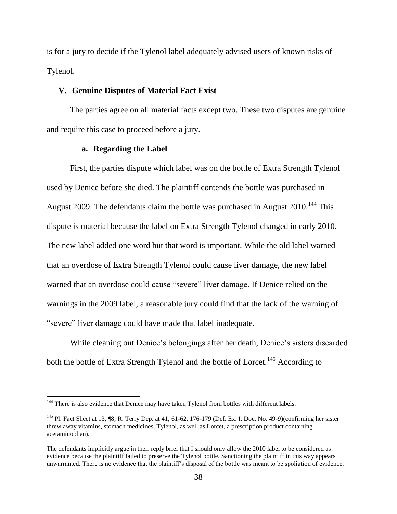is for a jury to decide if the Tylenol label adequately advised users of known risks of Tylenol.

### **V. Genuine Disputes of Material Fact Exist**

The parties agree on all material facts except two. These two disputes are genuine and require this case to proceed before a jury.

## **a. Regarding the Label**

 $\overline{\phantom{a}}$ 

First, the parties dispute which label was on the bottle of Extra Strength Tylenol used by Denice before she died. The plaintiff contends the bottle was purchased in August 2009. The defendants claim the bottle was purchased in August 2010.<sup>144</sup> This dispute is material because the label on Extra Strength Tylenol changed in early 2010. The new label added one word but that word is important. While the old label warned that an overdose of Extra Strength Tylenol could cause liver damage, the new label warned that an overdose could cause "severe" liver damage. If Denice relied on the warnings in the 2009 label, a reasonable jury could find that the lack of the warning of "severe" liver damage could have made that label inadequate.

While cleaning out Denice's belongings after her death, Denice's sisters discarded both the bottle of Extra Strength Tylenol and the bottle of Lorcet.<sup>145</sup> According to

<sup>&</sup>lt;sup>144</sup> There is also evidence that Denice may have taken Tylenol from bottles with different labels.

<sup>&</sup>lt;sup>145</sup> Pl. Fact Sheet at 13,  $\left[ \mathcal{B}; \mathbb{R}, \text{ Terry Dep. at 41, 61-62, 176-179} \right]$  (Def. Ex. I, Doc. No. 49-9)(confirming her sister threw away vitamins, stomach medicines, Tylenol, as well as Lorcet, a prescription product containing acetaminophen).

The defendants implicitly argue in their reply brief that I should only allow the 2010 label to be considered as evidence because the plaintiff failed to preserve the Tylenol bottle. Sanctioning the plaintiff in this way appears unwarranted. There is no evidence that the plaintiff's disposal of the bottle was meant to be spoliation of evidence.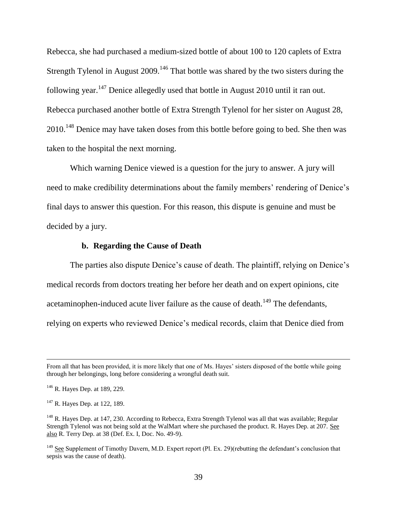Rebecca, she had purchased a medium-sized bottle of about 100 to 120 caplets of Extra Strength Tylenol in August  $2009$ .<sup>146</sup> That bottle was shared by the two sisters during the following year.<sup>147</sup> Denice allegedly used that bottle in August 2010 until it ran out. Rebecca purchased another bottle of Extra Strength Tylenol for her sister on August 28, 2010.<sup>148</sup> Denice may have taken doses from this bottle before going to bed. She then was taken to the hospital the next morning.

Which warning Denice viewed is a question for the jury to answer. A jury will need to make credibility determinations about the family members' rendering of Denice's final days to answer this question. For this reason, this dispute is genuine and must be decided by a jury.

#### **b. Regarding the Cause of Death**

The parties also dispute Denice's cause of death. The plaintiff, relying on Denice's medical records from doctors treating her before her death and on expert opinions, cite acetaminophen-induced acute liver failure as the cause of death.<sup>149</sup> The defendants, relying on experts who reviewed Denice's medical records, claim that Denice died from

 $\overline{a}$ 

From all that has been provided, it is more likely that one of Ms. Hayes' sisters disposed of the bottle while going through her belongings, long before considering a wrongful death suit.

<sup>&</sup>lt;sup>146</sup> R. Hayes Dep. at 189, 229.

<sup>&</sup>lt;sup>147</sup> R. Hayes Dep. at 122, 189.

<sup>&</sup>lt;sup>148</sup> R. Hayes Dep. at 147, 230. According to Rebecca, Extra Strength Tylenol was all that was available; Regular Strength Tylenol was not being sold at the WalMart where she purchased the product. R. Hayes Dep. at 207. See also R. Terry Dep. at 38 (Def. Ex. I, Doc. No. 49-9).

<sup>&</sup>lt;sup>149</sup> See Supplement of Timothy Davern, M.D. Expert report (Pl. Ex. 29)(rebutting the defendant's conclusion that sepsis was the cause of death).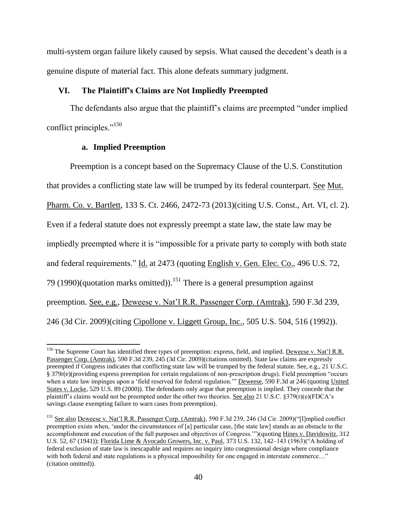multi-system organ failure likely caused by sepsis. What caused the decedent's death is a genuine dispute of material fact. This alone defeats summary judgment.

# **VI. The Plaintiff's Claims are Not Impliedly Preempted**

The defendants also argue that the plaintiff's claims are preempted "under implied conflict principles."<sup>150</sup>

# **a. Implied Preemption**

 $\overline{\phantom{a}}$ 

Preemption is a concept based on the Supremacy Clause of the U.S. Constitution that provides a conflicting state law will be trumped by its federal counterpart. See Mut. Pharm. Co. v. Bartlett, 133 S. Ct. 2466, 2472-73 (2013)(citing U.S. Const., Art. VI, cl. 2). Even if a federal statute does not expressly preempt a state law, the state law may be impliedly preempted where it is "impossible for a private party to comply with both state and federal requirements." Id. at 2473 (quoting English v. Gen. Elec. Co., 496 U.S. 72, 79 (1990) (quotation marks omitted)).<sup>151</sup> There is a general presumption against preemption. See, e.g., Deweese v. Nat'l R.R. Passenger Corp. (Amtrak), 590 F.3d 239, 246 (3d Cir. 2009)(citing Cipollone v. Liggett Group, Inc., 505 U.S. 504, 516 (1992)).

<sup>&</sup>lt;sup>150</sup> The Supreme Court has identified three types of preemption: express, field, and implied. <u>Deweese v. Nat'l R.R.</u> Passenger Corp. (Amtrak), 590 F.3d 239, 245 (3d Cir. 2009)(citations omitted). State law claims are expressly preempted if Congress indicates that conflicting state law will be trumped by the federal statute. See, e.g., 21 U.S.C. § 379r(e)(providing express preemption for certain regulations of non-prescription drugs). Field preemption "occurs when a state law impinges upon a 'field reserved for federal regulation.'" Deweese, 590 F.3d at 246 (quoting United States v. Locke, 529 U.S. 89 (2000)). The defendants only argue that preemption is implied. They concede that the plaintiff's claims would not be preempted under the other two theories. See also 21 U.S.C. §379(r)(e)(FDCA's savings clause exempting failure to warn cases from preemption).

<sup>&</sup>lt;sup>151</sup> See also Deweese v. Nat'l R.R. Passenger Corp. (Amtrak), 590 F.3d 239, 246 (3d Cir. 2009)("[I]mplied conflict preemption exists when, 'under the circumstances of [a] particular case, [the state law] stands as an obstacle to the accomplishment and execution of the full purposes and objectives of Congress.'")(quoting Hines v. Davidowitz, 312 U.S. 52, 67 (1941)); Florida Lime & Avocado Growers, Inc. v. Paul, 373 U.S. 132, 142–143 (1963)("A holding of federal exclusion of state law is inescapable and requires no inquiry into congressional design where compliance with both federal and state regulations is a physical impossibility for one engaged in interstate commerce..." (citation omitted)).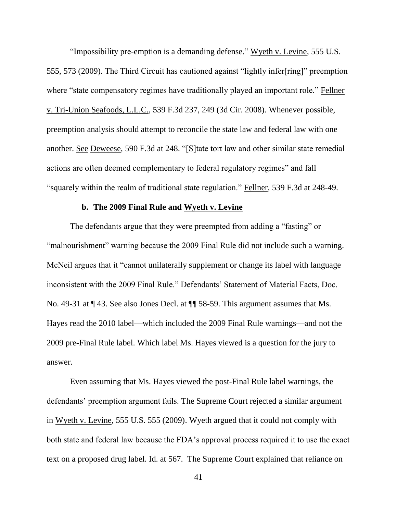"Impossibility pre-emption is a demanding defense." Wyeth v. Levine, 555 U.S. 555, 573 (2009). The Third Circuit has cautioned against "lightly infer[ring]" preemption where "state compensatory regimes have traditionally played an important role." Fellner v. Tri-Union Seafoods, L.L.C., 539 F.3d 237, 249 (3d Cir. 2008). Whenever possible, preemption analysis should attempt to reconcile the state law and federal law with one another. See Deweese, 590 F.3d at 248. "[S]tate tort law and other similar state remedial actions are often deemed complementary to federal regulatory regimes" and fall "squarely within the realm of traditional state regulation." Fellner, 539 F.3d at 248-49.

#### **b. The 2009 Final Rule and Wyeth v. Levine**

The defendants argue that they were preempted from adding a "fasting" or "malnourishment" warning because the 2009 Final Rule did not include such a warning. McNeil argues that it "cannot unilaterally supplement or change its label with language inconsistent with the 2009 Final Rule." Defendants' Statement of Material Facts, Doc. No. 49-31 at ¶ 43. See also Jones Decl. at ¶¶ 58-59. This argument assumes that Ms. Hayes read the 2010 label—which included the 2009 Final Rule warnings—and not the 2009 pre-Final Rule label. Which label Ms. Hayes viewed is a question for the jury to answer.

Even assuming that Ms. Hayes viewed the post-Final Rule label warnings, the defendants' preemption argument fails. The Supreme Court rejected a similar argument in Wyeth v. Levine, 555 U.S. 555 (2009). Wyeth argued that it could not comply with both state and federal law because the FDA's approval process required it to use the exact text on a proposed drug label. Id. at 567. The Supreme Court explained that reliance on

41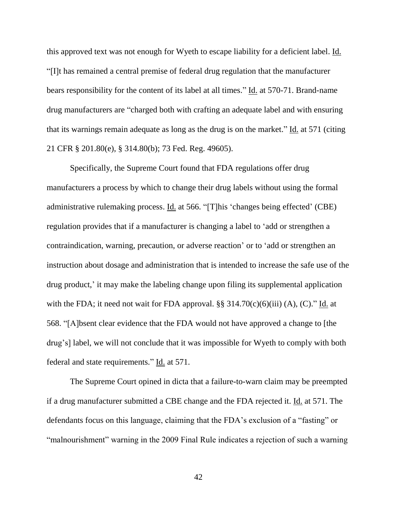this approved text was not enough for Wyeth to escape liability for a deficient label. Id. "[I]t has remained a central premise of federal drug regulation that the manufacturer bears responsibility for the content of its label at all times." Id. at 570-71. Brand-name drug manufacturers are "charged both with crafting an adequate label and with ensuring that its warnings remain adequate as long as the drug is on the market." Id. at 571 (citing 21 CFR § 201.80(e), § 314.80(b); 73 Fed. Reg. 49605).

Specifically, the Supreme Court found that FDA regulations offer drug manufacturers a process by which to change their drug labels without using the formal administrative rulemaking process. Id. at 566. "[T]his 'changes being effected' (CBE) regulation provides that if a manufacturer is changing a label to 'add or strengthen a contraindication, warning, precaution, or adverse reaction' or to 'add or strengthen an instruction about dosage and administration that is intended to increase the safe use of the drug product,' it may make the labeling change upon filing its supplemental application with the FDA; it need not wait for FDA approval.  $\S$ § 314.70(c)(6)(iii) (A), (C)." Id. at 568. "[A]bsent clear evidence that the FDA would not have approved a change to [the drug's] label, we will not conclude that it was impossible for Wyeth to comply with both federal and state requirements." Id. at 571.

The Supreme Court opined in dicta that a failure-to-warn claim may be preempted if a drug manufacturer submitted a CBE change and the FDA rejected it. Id. at 571. The defendants focus on this language, claiming that the FDA's exclusion of a "fasting" or "malnourishment" warning in the 2009 Final Rule indicates a rejection of such a warning

42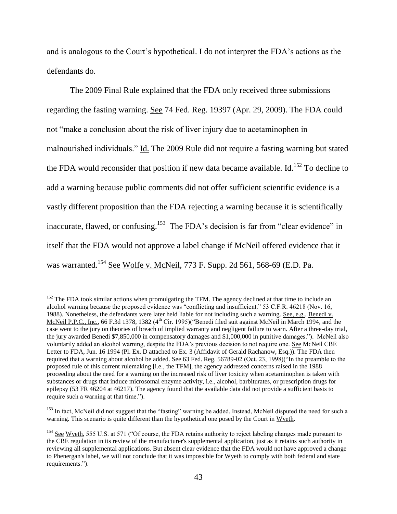and is analogous to the Court's hypothetical. I do not interpret the FDA's actions as the defendants do.

The 2009 Final Rule explained that the FDA only received three submissions regarding the fasting warning. See 74 Fed. Reg. 19397 (Apr. 29, 2009). The FDA could not "make a conclusion about the risk of liver injury due to acetaminophen in malnourished individuals." Id. The 2009 Rule did not require a fasting warning but stated the FDA would reconsider that position if new data became available. Id.<sup>152</sup> To decline to add a warning because public comments did not offer sufficient scientific evidence is a vastly different proposition than the FDA rejecting a warning because it is scientifically inaccurate, flawed, or confusing.<sup>153</sup> The FDA's decision is far from "clear evidence" in itself that the FDA would not approve a label change if McNeil offered evidence that it was warranted.<sup>154</sup> See Wolfe v. McNeil, 773 F. Supp. 2d 561, 568-69 (E.D. Pa.

 $152$  The FDA took similar actions when promulgating the TFM. The agency declined at that time to include an alcohol warning because the proposed evidence was "conflicting and insufficient." 53 C.F.R. 46218 (Nov. 16, 1988). Nonetheless, the defendants were later held liable for not including such a warning. See, e.g., Benedi v. McNeil P.P.C., Inc., 66 F.3d 1378, 1382 (4<sup>th</sup> Cir. 1995)("Benedi filed suit against McNeil in March 1994, and the case went to the jury on theories of breach of implied warranty and negligent failure to warn. After a three-day trial, the jury awarded Benedi \$7,850,000 in compensatory damages and \$1,000,000 in punitive damages."). McNeil also voluntarily added an alcohol warning, despite the FDA's previous decision to not require one. See McNeil CBE Letter to FDA, Jun. 16 1994 (Pl. Ex. D attached to Ex. 3 (Affidavit of Gerald Rachanow, Esq.)). The FDA then required that a warning about alcohol be added. See 63 Fed. Reg. 56789-02 (Oct. 23, 1998)("In the preamble to the proposed rule of this current rulemaking [i.e., the TFM], the agency addressed concerns raised in the 1988 proceeding about the need for a warning on the increased risk of liver toxicity when acetaminophen is taken with substances or drugs that induce microsomal enzyme activity, i.e., alcohol, barbiturates, or prescription drugs for epilepsy (53 FR 46204 at 46217). The agency found that the available data did not provide a sufficient basis to require such a warning at that time.").

<sup>&</sup>lt;sup>153</sup> In fact, McNeil did not suggest that the "fasting" warning be added. Instead, McNeil disputed the need for such a warning. This scenario is quite different than the hypothetical one posed by the Court in Wyeth.

<sup>&</sup>lt;sup>154</sup> See Wyeth, 555 U.S. at 571 ("Of course, the FDA retains authority to reject labeling changes made pursuant to the CBE regulation in its review of the manufacturer's supplemental application, just as it retains such authority in reviewing all supplemental applications. But absent clear evidence that the FDA would not have approved a change to Phenergan's label, we will not conclude that it was impossible for Wyeth to comply with both federal and state requirements.").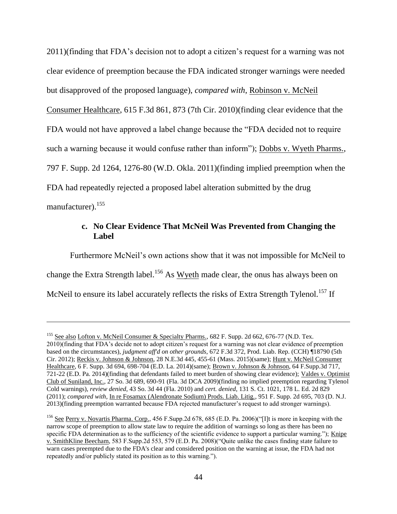2011)(finding that FDA's decision not to adopt a citizen's request for a warning was not clear evidence of preemption because the FDA indicated stronger warnings were needed but disapproved of the proposed language), *compared with*, Robinson v. McNeil Consumer Healthcare, 615 F.3d 861, 873 (7th Cir. 2010)(finding clear evidence that the FDA would not have approved a label change because the "FDA decided not to require such a warning because it would confuse rather than inform"); Dobbs v. Wyeth Pharms., 797 F. Supp. 2d 1264, 1276-80 (W.D. Okla. 2011)(finding implied preemption when the FDA had repeatedly rejected a proposed label alteration submitted by the drug manufacturer). 155

# **c. No Clear Evidence That McNeil Was Prevented from Changing the Label**

Furthermore McNeil's own actions show that it was not impossible for McNeil to change the Extra Strength label.<sup>156</sup> As Wyeth made clear, the onus has always been on McNeil to ensure its label accurately reflects the risks of Extra Strength Tylenol.<sup>157</sup> If

<sup>&</sup>lt;sup>155</sup> See also Lofton v. McNeil Consumer & Specialty Pharms., 682 F. Supp. 2d 662, 676-77 (N.D. Tex. 2010)(finding that FDA's decide not to adopt citizen's request for a warning was not clear evidence of preemption based on the circumstances), *judgment aff'd on other grounds*, 672 F.3d 372, Prod. Liab. Rep. (CCH) ¶18790 (5th Cir. 2012); Reckis v. Johnson & Johnson, 28 N.E.3d 445, 455-61 (Mass. 2015)(same); Hunt v. McNeil Consumer Healthcare, 6 F. Supp. 3d 694, 698-704 (E.D. La. 2014)(same); Brown v. Johnson & Johnson, 64 F.Supp.3d 717, 721-22 (E.D. Pa. 2014)(finding that defendants failed to meet burden of showing clear evidence); Valdes v. Optimist Club of Suniland, Inc., 27 So. 3d 689, 690-91 (Fla. 3d DCA 2009)(finding no implied preemption regarding Tylenol Cold warnings), *review denied*, 43 So. 3d 44 (Fla. 2010) and *cert. denied*, 131 S. Ct. 1021, 178 L. Ed. 2d 829 (2011); *compared with*, In re Fosamax (Alendronate Sodium) Prods. Liab. Litig., 951 F. Supp. 2d 695, 703 (D. N.J. 2013)(finding preemption warranted because FDA rejected manufacturer's request to add stronger warnings).

<sup>156</sup> See Perry v. Novartis Pharma. Corp., 456 F.Supp.2d 678, 685 (E.D. Pa. 2006)("[I]t is more in keeping with the narrow scope of preemption to allow state law to require the addition of warnings so long as there has been no specific FDA determination as to the sufficiency of the scientific evidence to support a particular warning."); Knipe v. SmithKline Beecham, 583 F.Supp.2d 553, 579 (E.D. Pa. 2008)("Quite unlike the cases finding state failure to warn cases preempted due to the FDA's clear and considered position on the warning at issue, the FDA had not repeatedly and/or publicly stated its position as to this warning.").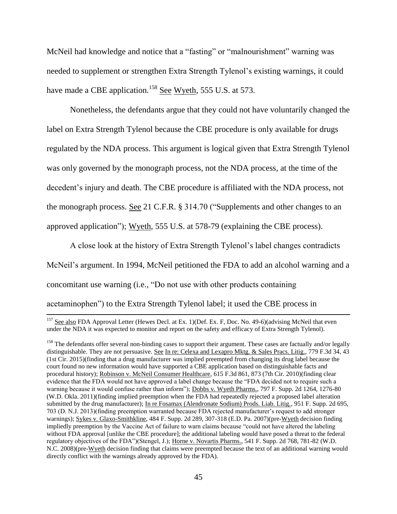McNeil had knowledge and notice that a "fasting" or "malnourishment" warning was needed to supplement or strengthen Extra Strength Tylenol's existing warnings, it could have made a CBE application.<sup>158</sup> See Wyeth, 555 U.S. at 573.

Nonetheless, the defendants argue that they could not have voluntarily changed the label on Extra Strength Tylenol because the CBE procedure is only available for drugs regulated by the NDA process. This argument is logical given that Extra Strength Tylenol was only governed by the monograph process, not the NDA process, at the time of the decedent's injury and death. The CBE procedure is affiliated with the NDA process, not the monograph process. See 21 C.F.R. § 314.70 ("Supplements and other changes to an approved application"); Wyeth, 555 U.S. at 578-79 (explaining the CBE process).

A close look at the history of Extra Strength Tylenol's label changes contradicts McNeil's argument. In 1994, McNeil petitioned the FDA to add an alcohol warning and a concomitant use warning (i.e., "Do not use with other products containing acetaminophen") to the Extra Strength Tylenol label; it used the CBE process in

 $\overline{a}$ 

<sup>&</sup>lt;sup>157</sup> See also FDA Approval Letter (Hewes Decl. at Ex. 1)(Def. Ex. F, Doc. No. 49-6)(advising McNeil that even under the NDA it was expected to monitor and report on the safety and efficacy of Extra Strength Tylenol).

<sup>&</sup>lt;sup>158</sup> The defendants offer several non-binding cases to support their argument. These cases are factually and/or legally distinguishable. They are not persuasive. See In re: Celexa and Lexapro Mktg. & Sales Pracs. Litig., 779 F.3d 34, 43 (1st Cir. 2015)(finding that a drug manufacturer was implied preempted from changing its drug label because the court found no new information would have supported a CBE application based on distinguishable facts and procedural history); Robinson v. McNeil Consumer Healthcare, 615 F.3d 861, 873 (7th Cir. 2010)(finding clear evidence that the FDA would not have approved a label change because the "FDA decided not to require such a warning because it would confuse rather than inform"); Dobbs v. Wyeth Pharms., 797 F. Supp. 2d 1264, 1276-80 (W.D. Okla. 2011)(finding implied preemption when the FDA had repeatedly rejected a proposed label alteration submitted by the drug manufacturer); In re Fosamax (Alendronate Sodium) Prods. Liab. Litig., 951 F. Supp. 2d 695, 703 (D. N.J. 2013)(finding preemption warranted because FDA rejected manufacturer's request to add stronger warnings); Sykes v. Glaxo-Smithkline, 484 F. Supp. 2d 289, 307-318 (E.D. Pa. 2007)(pre-Wyeth decision finding impliedly preemption by the Vaccine Act of failure to warn claims because "could not have altered the labeling without FDA approval [unlike the CBE procedure]; the additional labeling would have posed a threat to the federal regulatory objectives of the FDA")(Stengel, J.); Horne v. Novartis Pharms., 541 F. Supp. 2d 768, 781-82 (W.D. N.C. 2008)(pre-Wyeth decision finding that claims were preempted because the text of an additional warning would directly conflict with the warnings already approved by the FDA).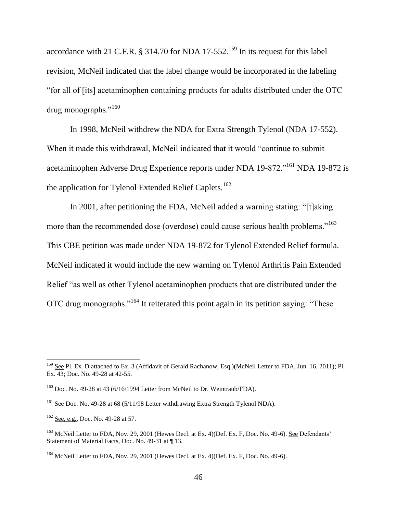accordance with 21 C.F.R.  $\S$  314.70 for NDA 17-552.<sup>159</sup> In its request for this label revision, McNeil indicated that the label change would be incorporated in the labeling "for all of [its] acetaminophen containing products for adults distributed under the OTC drug monographs."<sup>160</sup>

In 1998, McNeil withdrew the NDA for Extra Strength Tylenol (NDA 17-552). When it made this withdrawal, McNeil indicated that it would "continue to submit acetaminophen Adverse Drug Experience reports under NDA 19-872."<sup>161</sup> NDA 19-872 is the application for Tylenol Extended Relief Caplets.<sup>162</sup>

In 2001, after petitioning the FDA, McNeil added a warning stating: "[t]aking more than the recommended dose (overdose) could cause serious health problems."<sup>163</sup> This CBE petition was made under NDA 19-872 for Tylenol Extended Relief formula. McNeil indicated it would include the new warning on Tylenol Arthritis Pain Extended Relief "as well as other Tylenol acetaminophen products that are distributed under the OTC drug monographs."<sup>164</sup> It reiterated this point again in its petition saying: "These

 $\overline{a}$ 

<sup>&</sup>lt;sup>159</sup> See Pl. Ex. D attached to Ex. 3 (Affidavit of Gerald Rachanow, Esq.)(McNeil Letter to FDA, Jun. 16, 2011); Pl. Ex. 43; Doc. No. 49-28 at 42-55.

<sup>&</sup>lt;sup>160</sup> Doc. No. 49-28 at 43 (6/16/1994 Letter from McNeil to Dr. Weintraub/FDA).

<sup>&</sup>lt;sup>161</sup> See Doc. No. 49-28 at 68 (5/11/98 Letter withdrawing Extra Strength Tylenol NDA).

 $162$  See, e.g., Doc. No. 49-28 at 57.

<sup>&</sup>lt;sup>163</sup> McNeil Letter to FDA, Nov. 29, 2001 (Hewes Decl. at Ex. 4) (Def. Ex. F, Doc. No. 49-6). See Defendants' Statement of Material Facts, Doc. No. 49-31 at ¶ 13.

<sup>&</sup>lt;sup>164</sup> McNeil Letter to FDA, Nov. 29, 2001 (Hewes Decl. at Ex. 4)(Def. Ex. F, Doc. No. 49-6).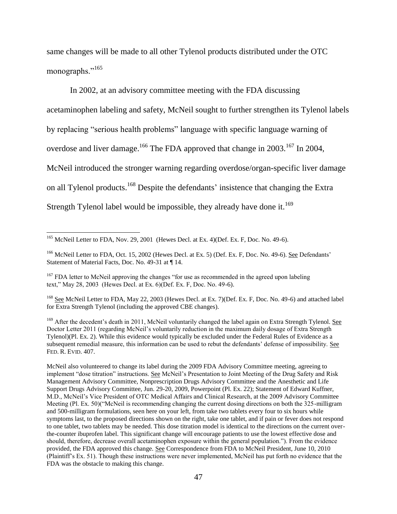same changes will be made to all other Tylenol products distributed under the OTC monographs."<sup>165</sup>

In 2002, at an advisory committee meeting with the FDA discussing acetaminophen labeling and safety, McNeil sought to further strengthen its Tylenol labels by replacing "serious health problems" language with specific language warning of overdose and liver damage.<sup>166</sup> The FDA approved that change in 2003.<sup>167</sup> In 2004, McNeil introduced the stronger warning regarding overdose/organ-specific liver damage on all Tylenol products.<sup>168</sup> Despite the defendants' insistence that changing the Extra Strength Tylenol label would be impossible, they already have done it.<sup>169</sup>

<sup>&</sup>lt;sup>165</sup> McNeil Letter to FDA, Nov. 29, 2001 (Hewes Decl. at Ex. 4)(Def. Ex. F, Doc. No. 49-6).

<sup>&</sup>lt;sup>166</sup> McNeil Letter to FDA, Oct. 15, 2002 (Hewes Decl. at Ex. 5) (Def. Ex. F, Doc. No. 49-6). See Defendants' Statement of Material Facts, Doc. No. 49-31 at ¶ 14.

<sup>&</sup>lt;sup>167</sup> FDA letter to McNeil approving the changes "for use as recommended in the agreed upon labeling text," May 28, 2003 (Hewes Decl. at Ex. 6)(Def. Ex. F, Doc. No. 49-6).

<sup>&</sup>lt;sup>168</sup> See McNeil Letter to FDA, May 22, 2003 (Hewes Decl. at Ex. 7)(Def. Ex. F, Doc. No. 49-6) and attached label for Extra Strength Tylenol (including the approved CBE changes).

<sup>&</sup>lt;sup>169</sup> After the decedent's death in 2011, McNeil voluntarily changed the label again on Extra Strength Tylenol. See Doctor Letter 2011 (regarding McNeil's voluntarily reduction in the maximum daily dosage of Extra Strength Tylenol)(Pl. Ex. 2). While this evidence would typically be excluded under the Federal Rules of Evidence as a subsequent remedial measure, this information can be used to rebut the defendants' defense of impossibility. See FED. R. EVID. 407.

McNeil also volunteered to change its label during the 2009 FDA Advisory Committee meeting, agreeing to implement "dose titration" instructions. See McNeil's Presentation to Joint Meeting of the Drug Safety and Risk Management Advisory Committee, Nonprescription Drugs Advisory Committee and the Anesthetic and Life Support Drugs Advisory Committee, Jun. 29-20, 2009, Powerpoint (Pl. Ex. 22); Statement of Edward Kuffner, M.D., McNeil's Vice President of OTC Medical Affairs and Clinical Research, at the 2009 Advisory Committee Meeting (Pl. Ex. 50)("McNeil is recommending changing the current dosing directions on both the 325-milligram and 500-milligram formulations, seen here on your left, from take two tablets every four to six hours while symptoms last, to the proposed directions shown on the right, take one tablet, and if pain or fever does not respond to one tablet, two tablets may be needed. This dose titration model is identical to the directions on the current overthe-counter ibuprofen label. This significant change will encourage patients to use the lowest effective dose and should, therefore, decrease overall acetaminophen exposure within the general population."). From the evidence provided, the FDA approved this change. See Correspondence from FDA to McNeil President, June 10, 2010 (Plaintiff's Ex. 51). Though these instructions were never implemented, McNeil has put forth no evidence that the FDA was the obstacle to making this change.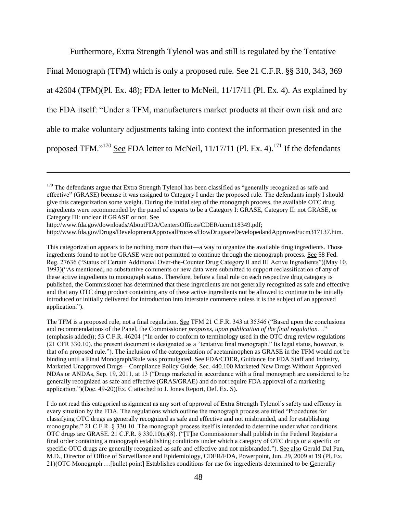Furthermore, Extra Strength Tylenol was and still is regulated by the Tentative

Final Monograph (TFM) which is only a proposed rule. See 21 C.F.R. §§ 310, 343, 369

at  $42604$  (TFM)(Pl. Ex. 48); FDA letter to McNeil,  $11/17/11$  (Pl. Ex. 4). As explained by

the FDA itself: "Under a TFM, manufacturers market products at their own risk and are

able to make voluntary adjustments taking into context the information presented in the

proposed TFM." $170$  See FDA letter to McNeil,  $11/17/11$  (Pl. Ex. 4).<sup>171</sup> If the defendants

http://www.fda.gov/downloads/AboutFDA/CentersOffices/CDER/ucm118349.pdf;

l

http://www.fda.gov/Drugs/DevelopmentApprovalProcess/HowDrugsareDevelopedandApproved/ucm317137.htm.

This categorization appears to be nothing more than that—a way to organize the available drug ingredients. Those ingredients found to not be GRASE were not permitted to continue through the monograph process. See 58 Fed. Reg. 27636 ("Status of Certain Additional Over-the-Counter Drug Category II and III Active Ingredients")(May 10, 1993)("As mentioned, no substantive comments or new data were submitted to support reclassification of any of these active ingredients to monograph status. Therefore, before a final rule on each respective drug category is published, the Commissioner has determined that these ingredients are not generally recognized as safe and effective and that any OTC drug product containing any of these active ingredients not be allowed to continue to be initially introduced or initially delivered for introduction into interstate commerce unless it is the subject of an approved application.").

The TFM is a proposed rule, not a final regulation. See TFM 21 C.F.R. 343 at 35346 ("Based upon the conclusions and recommendations of the Panel, the Commissioner *proposes, upon publication of the final regulation*…" (emphasis added)); 53 C.F.R. 46204 ("In order to conform to terminology used in the OTC drug review regulations (21 CFR 330.10), the present document is designated as a "tentative final monograph." Its legal status, however, is that of a proposed rule."). The inclusion of the categorization of acetaminophen as GRASE in the TFM would not be binding until a Final Monograph/Rule was promulgated. See FDA/CDER, Guidance for FDA Staff and Industry, Marketed Unapproved Drugs—Compliance Policy Guide, Sec. 440.100 Marketed New Drugs Without Approved NDAs or ANDAs, Sep. 19, 2011, at 13 ("Drugs marketed in accordance with a final monograph are considered to be generally recognized as safe and effective (GRAS/GRAE) and do not require FDA approval of a marketing application.")(Doc. 49-20)(Ex. C attached to J. Jones Report, Def. Ex. S).

I do not read this categorical assignment as any sort of approval of Extra Strength Tylenol's safety and efficacy in every situation by the FDA. The regulations which outline the monograph process are titled "Procedures for classifying OTC drugs as generally recognized as safe and effective and not misbranded, and for establishing monographs." 21 C.F.R. § 330.10. The monograph process itself is intended to determine under what conditions OTC drugs are GRASE. 21 C.F.R. § 330.10(a)(8). ("[T]he Commissioner shall publish in the Federal Register a final order containing a monograph establishing conditions under which a category of OTC drugs or a specific or specific OTC drugs are generally recognized as safe and effective and not misbranded."). See also Gerald Dal Pan, M.D., Director of Office of Surveillance and Epidemiology, CDER/FDA, Powerpoint, Jun. 29, 2009 at 19 (Pl. Ex. 21)(OTC Monograph …[bullet point] Establishes conditions for use for ingredients determined to be Generally

<sup>&</sup>lt;sup>170</sup> The defendants argue that Extra Strength Tylenol has been classified as "generally recognized as safe and effective" (GRASE) because it was assigned to Category I under the proposed rule. The defendants imply I should give this categorization some weight. During the initial step of the monograph process, the available OTC drug ingredients were recommended by the panel of experts to be a Category I: GRASE, Category II: not GRASE, or Category III: unclear if GRASE or not. See